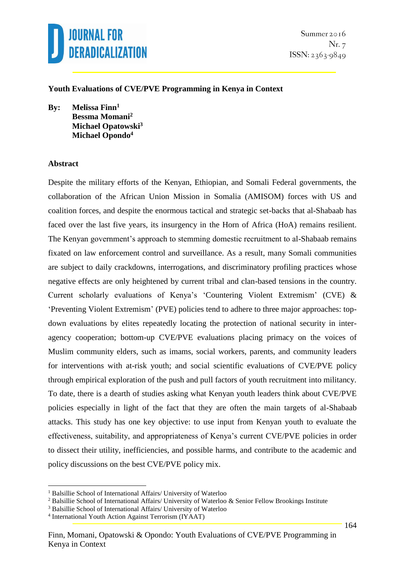

#### **Youth Evaluations of CVE/PVE Programming in Kenya in Context**

**By: Melissa Finn<sup>1</sup> Bessma Momani<sup>2</sup> Michael Opatowski<sup>3</sup> Michael Opondo<sup>4</sup>**

#### **Abstract**

<u>.</u>

Despite the military efforts of the Kenyan, Ethiopian, and Somali Federal governments, the collaboration of the African Union Mission in Somalia (AMISOM) forces with US and coalition forces, and despite the enormous tactical and strategic set-backs that al-Shabaab has faced over the last five years, its insurgency in the Horn of Africa (HoA) remains resilient. The Kenyan government's approach to stemming domestic recruitment to al-Shabaab remains fixated on law enforcement control and surveillance. As a result, many Somali communities are subject to daily crackdowns, interrogations, and discriminatory profiling practices whose negative effects are only heightened by current tribal and clan-based tensions in the country. Current scholarly evaluations of Kenya's 'Countering Violent Extremism' (CVE) & 'Preventing Violent Extremism' (PVE) policies tend to adhere to three major approaches: topdown evaluations by elites repeatedly locating the protection of national security in interagency cooperation; bottom-up CVE/PVE evaluations placing primacy on the voices of Muslim community elders, such as imams, social workers, parents, and community leaders for interventions with at-risk youth; and social scientific evaluations of CVE/PVE policy through empirical exploration of the push and pull factors of youth recruitment into militancy. To date, there is a dearth of studies asking what Kenyan youth leaders think about CVE/PVE policies especially in light of the fact that they are often the main targets of al-Shabaab attacks. This study has one key objective: to use input from Kenyan youth to evaluate the effectiveness, suitability, and appropriateness of Kenya's current CVE/PVE policies in order to dissect their utility, inefficiencies, and possible harms, and contribute to the academic and policy discussions on the best CVE/PVE policy mix.

<sup>&</sup>lt;sup>1</sup> Balsillie School of International Affairs/ University of Waterloo

<sup>2</sup> Balsillie School of International Affairs/ University of Waterloo & Senior Fellow Brookings Institute

<sup>3</sup> Balsillie School of International Affairs/ University of Waterloo

<sup>4</sup> International Youth Action Against Terrorism (IYAAT)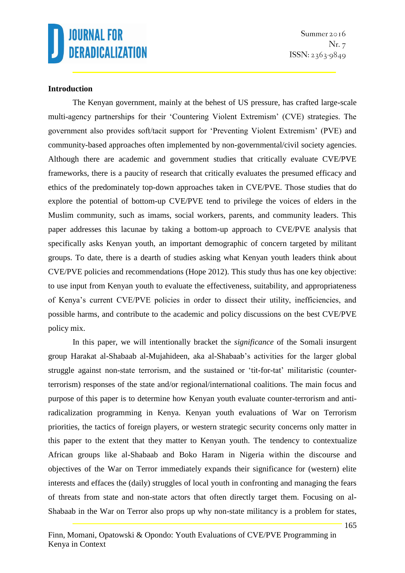

Summer 2016 Nr. 7  $ISSN: 2363-9849$ 

#### **Introduction**

The Kenyan government, mainly at the behest of US pressure, has crafted large-scale multi-agency partnerships for their 'Countering Violent Extremism' (CVE) strategies. The government also provides soft/tacit support for 'Preventing Violent Extremism' (PVE) and community-based approaches often implemented by non-governmental/civil society agencies. Although there are academic and government studies that critically evaluate CVE/PVE frameworks, there is a paucity of research that critically evaluates the presumed efficacy and ethics of the predominately top-down approaches taken in CVE/PVE. Those studies that do explore the potential of bottom-up CVE/PVE tend to privilege the voices of elders in the Muslim community, such as imams, social workers, parents, and community leaders. This paper addresses this lacunae by taking a bottom-up approach to CVE/PVE analysis that specifically asks Kenyan youth, an important demographic of concern targeted by militant groups. To date, there is a dearth of studies asking what Kenyan youth leaders think about CVE/PVE policies and recommendations (Hope 2012). This study thus has one key objective: to use input from Kenyan youth to evaluate the effectiveness, suitability, and appropriateness of Kenya's current CVE/PVE policies in order to dissect their utility, inefficiencies, and possible harms, and contribute to the academic and policy discussions on the best CVE/PVE policy mix.

In this paper, we will intentionally bracket the *significance* of the Somali insurgent group Harakat al-Shabaab al-Mujahideen, aka al-Shabaab's activities for the larger global struggle against non-state terrorism, and the sustained or 'tit-for-tat' militaristic (counterterrorism) responses of the state and/or regional/international coalitions. The main focus and purpose of this paper is to determine how Kenyan youth evaluate counter-terrorism and antiradicalization programming in Kenya. Kenyan youth evaluations of War on Terrorism priorities, the tactics of foreign players, or western strategic security concerns only matter in this paper to the extent that they matter to Kenyan youth. The tendency to contextualize African groups like al-Shabaab and Boko Haram in Nigeria within the discourse and objectives of the War on Terror immediately expands their significance for (western) elite interests and effaces the (daily) struggles of local youth in confronting and managing the fears of threats from state and non-state actors that often directly target them. Focusing on al-Shabaab in the War on Terror also props up why non-state militancy is a problem for states,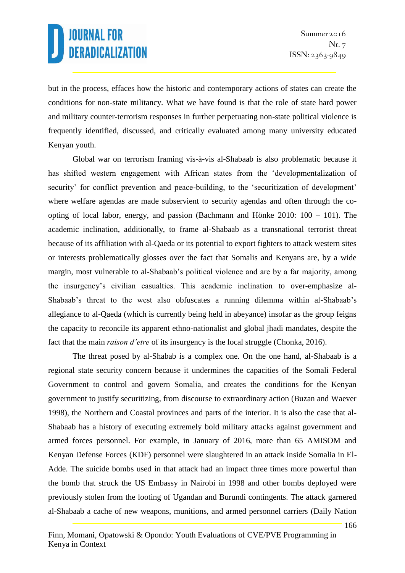but in the process, effaces how the historic and contemporary actions of states can create the conditions for non-state militancy. What we have found is that the role of state hard power and military counter-terrorism responses in further perpetuating non-state political violence is frequently identified, discussed, and critically evaluated among many university educated Kenyan youth.

Global war on terrorism framing vis-à-vis al-Shabaab is also problematic because it has shifted western engagement with African states from the 'developmentalization of security' for conflict prevention and peace-building, to the 'securitization of development' where welfare agendas are made subservient to security agendas and often through the coopting of local labor, energy, and passion (Bachmann and Hönke 2010: 100 – 101). The academic inclination, additionally, to frame al-Shabaab as a transnational terrorist threat because of its affiliation with al-Qaeda or its potential to export fighters to attack western sites or interests problematically glosses over the fact that Somalis and Kenyans are, by a wide margin, most vulnerable to al-Shabaab's political violence and are by a far majority, among the insurgency's civilian casualties. This academic inclination to over-emphasize al-Shabaab's threat to the west also obfuscates a running dilemma within al-Shabaab's allegiance to al-Qaeda (which is currently being held in abeyance) insofar as the group feigns the capacity to reconcile its apparent ethno-nationalist and global jhadi mandates, despite the fact that the main *raison d'etre* of its insurgency is the local struggle (Chonka, 2016).

The threat posed by al-Shabab is a complex one. On the one hand, al-Shabaab is a regional state security concern because it undermines the capacities of the Somali Federal Government to control and govern Somalia, and creates the conditions for the Kenyan government to justify securitizing, from discourse to extraordinary action (Buzan and Waever 1998), the Northern and Coastal provinces and parts of the interior. It is also the case that al-Shabaab has a history of executing extremely bold military attacks against government and armed forces personnel. For example, in January of 2016, more than 65 AMISOM and Kenyan Defense Forces (KDF) personnel were slaughtered in an attack inside Somalia in El-Adde. The suicide bombs used in that attack had an impact three times more powerful than the bomb that struck the US Embassy in Nairobi in 1998 and other bombs deployed were previously stolen from the looting of Ugandan and Burundi contingents. The attack garnered al-Shabaab a cache of new weapons, munitions, and armed personnel carriers (Daily Nation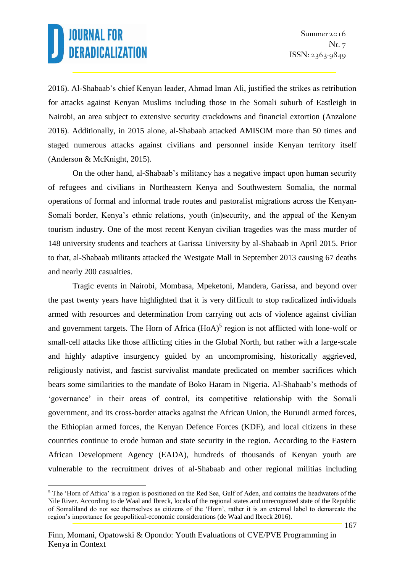2016). Al-Shabaab's chief Kenyan leader, Ahmad Iman Ali, justified the strikes as retribution for attacks against Kenyan Muslims including those in the Somali suburb of Eastleigh in Nairobi, an area subject to extensive security crackdowns and financial extortion (Anzalone 2016). Additionally, in 2015 alone, al-Shabaab attacked AMISOM more than 50 times and staged numerous attacks against civilians and personnel inside Kenyan territory itself (Anderson & McKnight, 2015).

On the other hand, al-Shabaab's militancy has a negative impact upon human security of refugees and civilians in Northeastern Kenya and Southwestern Somalia, the normal operations of formal and informal trade routes and pastoralist migrations across the Kenyan-Somali border, Kenya's ethnic relations, youth (in)security, and the appeal of the Kenyan tourism industry. One of the most recent Kenyan civilian tragedies was the mass murder of 148 university students and teachers at Garissa University by al-Shabaab in April 2015. Prior to that, al-Shabaab militants attacked the Westgate Mall in September 2013 causing 67 deaths and nearly 200 casualties.

Tragic events in Nairobi, Mombasa, Mpeketoni, Mandera, Garissa, and beyond over the past twenty years have highlighted that it is very difficult to stop radicalized individuals armed with resources and determination from carrying out acts of violence against civilian and government targets. The Horn of Africa (HoA)<sup>5</sup> region is not afflicted with lone-wolf or small-cell attacks like those afflicting cities in the Global North, but rather with a large-scale and highly adaptive insurgency guided by an uncompromising, historically aggrieved, religiously nativist, and fascist survivalist mandate predicated on member sacrifices which bears some similarities to the mandate of Boko Haram in Nigeria. Al-Shabaab's methods of 'governance' in their areas of control, its competitive relationship with the Somali government, and its cross-border attacks against the African Union, the Burundi armed forces, the Ethiopian armed forces, the Kenyan Defence Forces (KDF), and local citizens in these countries continue to erode human and state security in the region. According to the Eastern African Development Agency (EADA), hundreds of thousands of Kenyan youth are vulnerable to the recruitment drives of al-Shabaab and other regional militias including

<sup>&</sup>lt;u>.</u> <sup>5</sup> The 'Horn of Africa' is a region is positioned on the Red Sea, Gulf of Aden, and contains the headwaters of the Nile River. According to de Waal and Ibreck, locals of the regional states and unrecognized state of the Republic of Somaliland do not see themselves as citizens of the 'Horn', rather it is an external label to demarcate the region's importance for geopolitical-economic considerations (de Waal and Ibreck 2016).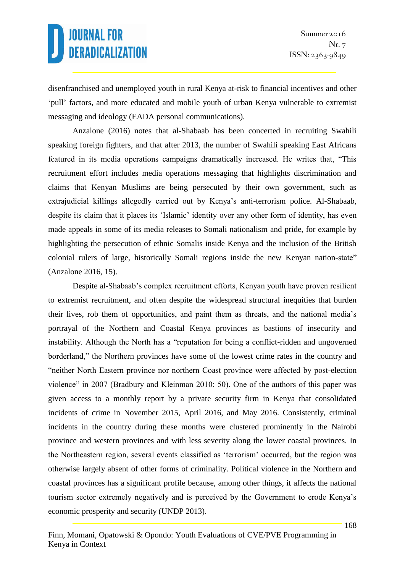disenfranchised and unemployed youth in rural Kenya at-risk to financial incentives and other 'pull' factors, and more educated and mobile youth of urban Kenya vulnerable to extremist messaging and ideology (EADA personal communications).

Anzalone (2016) notes that al-Shabaab has been concerted in recruiting Swahili speaking foreign fighters, and that after 2013, the number of Swahili speaking East Africans featured in its media operations campaigns dramatically increased. He writes that, "This recruitment effort includes media operations messaging that highlights discrimination and claims that Kenyan Muslims are being persecuted by their own government, such as extrajudicial killings allegedly carried out by Kenya's anti-terrorism police. Al-Shabaab, despite its claim that it places its 'Islamic' identity over any other form of identity, has even made appeals in some of its media releases to Somali nationalism and pride, for example by highlighting the persecution of ethnic Somalis inside Kenya and the inclusion of the British colonial rulers of large, historically Somali regions inside the new Kenyan nation-state" (Anzalone 2016, 15).

Despite al-Shabaab's complex recruitment efforts, Kenyan youth have proven resilient to extremist recruitment, and often despite the widespread structural inequities that burden their lives, rob them of opportunities, and paint them as threats, and the national media's portrayal of the Northern and Coastal Kenya provinces as bastions of insecurity and instability. Although the North has a "reputation for being a conflict-ridden and ungoverned borderland," the Northern provinces have some of the lowest crime rates in the country and "neither North Eastern province nor northern Coast province were affected by post-election violence" in 2007 (Bradbury and Kleinman 2010: 50). One of the authors of this paper was given access to a monthly report by a private security firm in Kenya that consolidated incidents of crime in November 2015, April 2016, and May 2016. Consistently, criminal incidents in the country during these months were clustered prominently in the Nairobi province and western provinces and with less severity along the lower coastal provinces. In the Northeastern region, several events classified as 'terrorism' occurred, but the region was otherwise largely absent of other forms of criminality. Political violence in the Northern and coastal provinces has a significant profile because, among other things, it affects the national tourism sector extremely negatively and is perceived by the Government to erode Kenya's economic prosperity and security (UNDP 2013).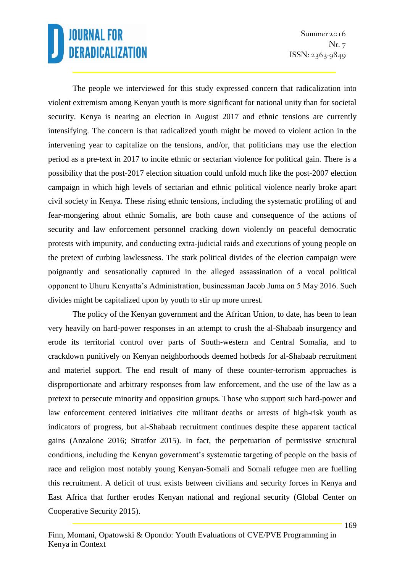The people we interviewed for this study expressed concern that radicalization into violent extremism among Kenyan youth is more significant for national unity than for societal security. Kenya is nearing an election in August 2017 and ethnic tensions are currently intensifying. The concern is that radicalized youth might be moved to violent action in the intervening year to capitalize on the tensions, and/or, that politicians may use the election period as a pre-text in 2017 to incite ethnic or sectarian violence for political gain. There is a possibility that the post-2017 election situation could unfold much like the post-2007 election campaign in which high levels of sectarian and ethnic political violence nearly broke apart civil society in Kenya. These rising ethnic tensions, including the systematic profiling of and fear-mongering about ethnic Somalis, are both cause and consequence of the actions of security and law enforcement personnel cracking down violently on peaceful democratic protests with impunity, and conducting extra-judicial raids and executions of young people on the pretext of curbing lawlessness. The stark political divides of the election campaign were poignantly and sensationally captured in the alleged assassination of a vocal political opponent to Uhuru Kenyatta's Administration, businessman Jacob Juma on 5 May 2016. Such divides might be capitalized upon by youth to stir up more unrest.

The policy of the Kenyan government and the African Union, to date, has been to lean very heavily on hard-power responses in an attempt to crush the al-Shabaab insurgency and erode its territorial control over parts of South-western and Central Somalia, and to crackdown punitively on Kenyan neighborhoods deemed hotbeds for al-Shabaab recruitment and materiel support. The end result of many of these counter-terrorism approaches is disproportionate and arbitrary responses from law enforcement, and the use of the law as a pretext to persecute minority and opposition groups. Those who support such hard-power and law enforcement centered initiatives cite militant deaths or arrests of high-risk youth as indicators of progress, but al-Shabaab recruitment continues despite these apparent tactical gains (Anzalone 2016; Stratfor 2015). In fact, the perpetuation of permissive structural conditions, including the Kenyan government's systematic targeting of people on the basis of race and religion most notably young Kenyan-Somali and Somali refugee men are fuelling this recruitment. A deficit of trust exists between civilians and security forces in Kenya and East Africa that further erodes Kenyan national and regional security (Global Center on Cooperative Security 2015).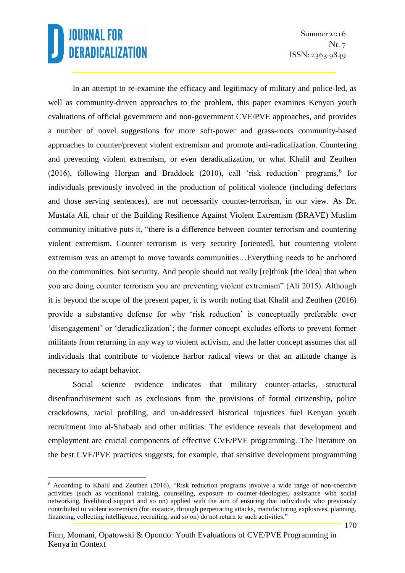1

Summer 2016 Nr. 7  $ISSN: 2363-9849$ 

In an attempt to re-examine the efficacy and legitimacy of military and police-led, as well as community-driven approaches to the problem, this paper examines Kenyan youth evaluations of official government and non-government CVE/PVE approaches, and provides a number of novel suggestions for more soft-power and grass-roots community-based approaches to counter/prevent violent extremism and promote anti-radicalization. Countering and preventing violent extremism, or even deradicalization, or what Khalil and Zeuthen (2016), following Horgan and Braddock (2010), call 'risk reduction' programs, $6$  for individuals previously involved in the production of political violence (including defectors and those serving sentences), are not necessarily counter-terrorism, in our view. As Dr. Mustafa Ali, chair of the Building Resilience Against Violent Extremism (BRAVE) Muslim community initiative puts it, "there is a difference between counter terrorism and countering violent extremism. Counter terrorism is very security [oriented], but countering violent extremism was an attempt to move towards communities…Everything needs to be anchored on the communities. Not security. And people should not really [re]think [the idea] that when you are doing counter terrorism you are preventing violent extremism" (Ali 2015). Although it is beyond the scope of the present paper, it is worth noting that Khalil and Zeuthen (2016) provide a substantive defense for why 'risk reduction' is conceptually preferable over 'disengagement' or 'deradicalization'; the former concept excludes efforts to prevent former militants from returning in any way to violent activism, and the latter concept assumes that all individuals that contribute to violence harbor radical views or that an attitude change is necessary to adapt behavior.

Social science evidence indicates that military counter-attacks, structural disenfranchisement such as exclusions from the provisions of formal citizenship, police crackdowns, racial profiling, and un-addressed historical injustices fuel Kenyan youth recruitment into al-Shabaab and other militias. The evidence reveals that development and employment are crucial components of effective CVE/PVE programming. The literature on the best CVE/PVE practices suggests, for example, that sensitive development programming

<sup>6</sup> According to Khalil and Zeuthen (2016), "Risk reduction programs involve a wide range of non-coercive activities (such as vocational training, counseling, exposure to counter-ideologies, assistance with social networking, livelihood support and so on) applied with the aim of ensuring that individuals who previously contributed to violent extremism (for instance, through perpetrating attacks, manufacturing explosives, planning, financing, collecting intelligence, recruiting, and so on) do not return to such activities."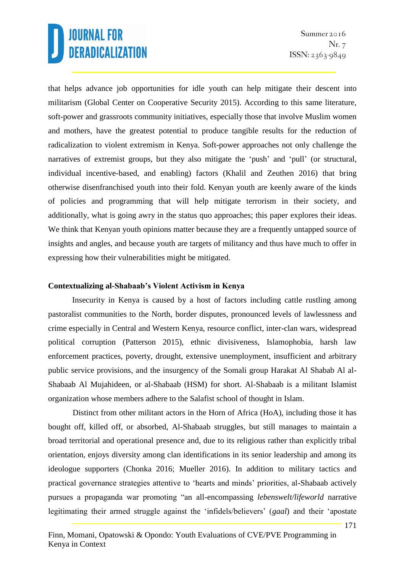that helps advance job opportunities for idle youth can help mitigate their descent into militarism (Global Center on Cooperative Security 2015). According to this same literature, soft-power and grassroots community initiatives, especially those that involve Muslim women and mothers, have the greatest potential to produce tangible results for the reduction of radicalization to violent extremism in Kenya. Soft-power approaches not only challenge the narratives of extremist groups, but they also mitigate the 'push' and 'pull' (or structural, individual incentive-based, and enabling) factors (Khalil and Zeuthen 2016) that bring otherwise disenfranchised youth into their fold. Kenyan youth are keenly aware of the kinds of policies and programming that will help mitigate terrorism in their society, and additionally, what is going awry in the status quo approaches; this paper explores their ideas. We think that Kenyan youth opinions matter because they are a frequently untapped source of insights and angles, and because youth are targets of militancy and thus have much to offer in expressing how their vulnerabilities might be mitigated.

#### **Contextualizing al-Shabaab's Violent Activism in Kenya**

Insecurity in Kenya is caused by a host of factors including cattle rustling among pastoralist communities to the North, border disputes, pronounced levels of lawlessness and crime especially in Central and Western Kenya, resource conflict, inter-clan wars, widespread political corruption (Patterson 2015), ethnic divisiveness, Islamophobia, harsh law enforcement practices, poverty, drought, extensive unemployment, insufficient and arbitrary public service provisions, and the insurgency of the Somali group Harakat Al Shabab Al al-Shabaab Al Mujahideen, or al-Shabaab (HSM) for short. Al-Shabaab is a militant Islamist organization whose members adhere to the Salafist school of thought in Islam.

Distinct from other militant actors in the Horn of Africa (HoA), including those it has bought off, killed off, or absorbed, Al-Shabaab struggles, but still manages to maintain a broad territorial and operational presence and, due to its religious rather than explicitly tribal orientation, enjoys diversity among clan identifications in its senior leadership and among its ideologue supporters (Chonka 2016; Mueller 2016). In addition to military tactics and practical governance strategies attentive to 'hearts and minds' priorities, al-Shabaab actively pursues a propaganda war promoting "an all-encompassing *lebenswelt/lifeworld* narrative legitimating their armed struggle against the 'infidels/believers' (*gaal*) and their 'apostate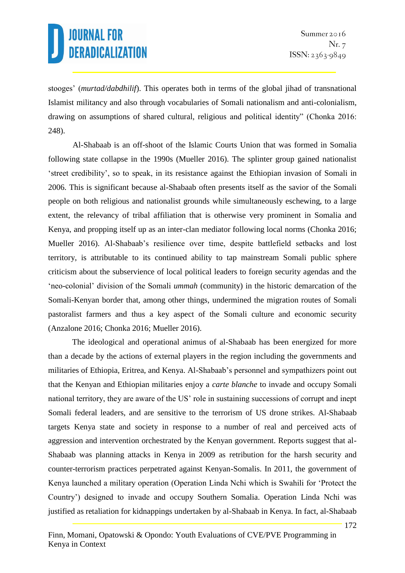stooges' (*murtad/dabdhilif*). This operates both in terms of the global jihad of transnational Islamist militancy and also through vocabularies of Somali nationalism and anti-colonialism, drawing on assumptions of shared cultural, religious and political identity" (Chonka 2016: 248).

Al-Shabaab is an off-shoot of the Islamic Courts Union that was formed in Somalia following state collapse in the 1990s (Mueller 2016). The splinter group gained nationalist 'street credibility', so to speak, in its resistance against the Ethiopian invasion of Somali in 2006. This is significant because al-Shabaab often presents itself as the savior of the Somali people on both religious and nationalist grounds while simultaneously eschewing, to a large extent, the relevancy of tribal affiliation that is otherwise very prominent in Somalia and Kenya, and propping itself up as an inter-clan mediator following local norms (Chonka 2016; Mueller 2016). Al-Shabaab's resilience over time, despite battlefield setbacks and lost territory, is attributable to its continued ability to tap mainstream Somali public sphere criticism about the subservience of local political leaders to foreign security agendas and the 'neo-colonial' division of the Somali *ummah* (community) in the historic demarcation of the Somali-Kenyan border that, among other things, undermined the migration routes of Somali pastoralist farmers and thus a key aspect of the Somali culture and economic security (Anzalone 2016; Chonka 2016; Mueller 2016).

The ideological and operational animus of al-Shabaab has been energized for more than a decade by the actions of external players in the region including the governments and militaries of Ethiopia, Eritrea, and Kenya. Al-Shabaab's personnel and sympathizers point out that the Kenyan and Ethiopian militaries enjoy a *carte blanche* to invade and occupy Somali national territory, they are aware of the US' role in sustaining successions of corrupt and inept Somali federal leaders, and are sensitive to the terrorism of US drone strikes. Al-Shabaab targets Kenya state and society in response to a number of real and perceived acts of aggression and intervention orchestrated by the Kenyan government. Reports suggest that al-Shabaab was planning attacks in Kenya in 2009 as retribution for the harsh security and counter-terrorism practices perpetrated against Kenyan-Somalis. In 2011, the government of Kenya launched a military operation (Operation Linda Nchi which is Swahili for 'Protect the Country') designed to invade and occupy Southern Somalia. Operation Linda Nchi was justified as retaliation for kidnappings undertaken by al-Shabaab in Kenya. In fact, al-Shabaab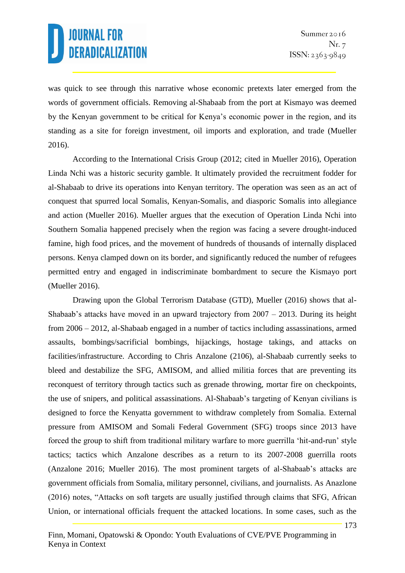was quick to see through this narrative whose economic pretexts later emerged from the words of government officials. Removing al-Shabaab from the port at Kismayo was deemed by the Kenyan government to be critical for Kenya's economic power in the region, and its standing as a site for foreign investment, oil imports and exploration, and trade (Mueller 2016).

According to the International Crisis Group (2012; cited in Mueller 2016), Operation Linda Nchi was a historic security gamble. It ultimately provided the recruitment fodder for al-Shabaab to drive its operations into Kenyan territory. The operation was seen as an act of conquest that spurred local Somalis, Kenyan-Somalis, and diasporic Somalis into allegiance and action (Mueller 2016). Mueller argues that the execution of Operation Linda Nchi into Southern Somalia happened precisely when the region was facing a severe drought-induced famine, high food prices, and the movement of hundreds of thousands of internally displaced persons. Kenya clamped down on its border, and significantly reduced the number of refugees permitted entry and engaged in indiscriminate bombardment to secure the Kismayo port (Mueller 2016).

Drawing upon the Global Terrorism Database (GTD), Mueller (2016) shows that al-Shabaab's attacks have moved in an upward trajectory from 2007 – 2013. During its height from 2006 – 2012, al-Shabaab engaged in a number of tactics including assassinations, armed assaults, bombings/sacrificial bombings, hijackings, hostage takings, and attacks on facilities/infrastructure. According to Chris Anzalone (2106), al-Shabaab currently seeks to bleed and destabilize the SFG, AMISOM, and allied militia forces that are preventing its reconquest of territory through tactics such as grenade throwing, mortar fire on checkpoints, the use of snipers, and political assassinations. Al-Shabaab's targeting of Kenyan civilians is designed to force the Kenyatta government to withdraw completely from Somalia. External pressure from AMISOM and Somali Federal Government (SFG) troops since 2013 have forced the group to shift from traditional military warfare to more guerrilla 'hit-and-run' style tactics; tactics which Anzalone describes as a return to its 2007-2008 guerrilla roots (Anzalone 2016; Mueller 2016). The most prominent targets of al-Shabaab's attacks are government officials from Somalia, military personnel, civilians, and journalists. As Anazlone (2016) notes, "Attacks on soft targets are usually justified through claims that SFG, African Union, or international officials frequent the attacked locations. In some cases, such as the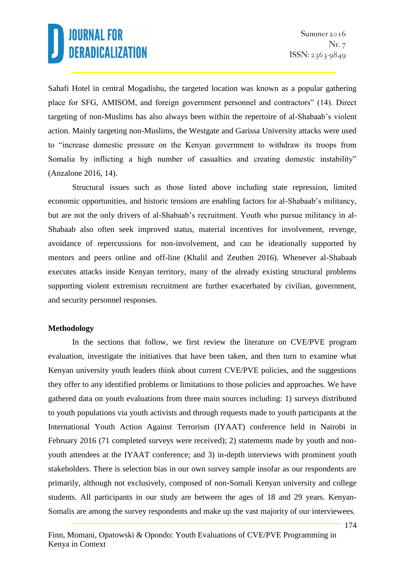Sahafi Hotel in central Mogadishu, the targeted location was known as a popular gathering place for SFG, AMISOM, and foreign government personnel and contractors" (14). Direct targeting of non-Muslims has also always been within the repertoire of al-Shabaab's violent action. Mainly targeting non-Muslims, the Westgate and Garissa University attacks were used to "increase domestic pressure on the Kenyan government to withdraw its troops from Somalia by inflicting a high number of casualties and creating domestic instability" (Anzalone 2016, 14).

Structural issues such as those listed above including state repression, limited economic opportunities, and historic tensions are enabling factors for al-Shabaab's militancy, but are not the only drivers of al-Shabaab's recruitment. Youth who pursue militancy in al-Shabaab also often seek improved status, material incentives for involvement, revenge, avoidance of repercussions for non-involvement, and can be ideationally supported by mentors and peers online and off-line (Khalil and Zeuthen 2016). Whenever al-Shabaab executes attacks inside Kenyan territory, many of the already existing structural problems supporting violent extremism recruitment are further exacerbated by civilian, government, and security personnel responses.

#### **Methodology**

In the sections that follow, we first review the literature on CVE/PVE program evaluation, investigate the initiatives that have been taken, and then turn to examine what Kenyan university youth leaders think about current CVE/PVE policies, and the suggestions they offer to any identified problems or limitations to those policies and approaches. We have gathered data on youth evaluations from three main sources including: 1) surveys distributed to youth populations via youth activists and through requests made to youth participants at the International Youth Action Against Terrorism (IYAAT) conference held in Nairobi in February 2016 (71 completed surveys were received); 2) statements made by youth and nonyouth attendees at the IYAAT conference; and 3) in-depth interviews with prominent youth stakeholders. There is selection bias in our own survey sample insofar as our respondents are primarily, although not exclusively, composed of non-Somali Kenyan university and college students. All participants in our study are between the ages of 18 and 29 years. Kenyan-Somalis are among the survey respondents and make up the vast majority of our interviewees.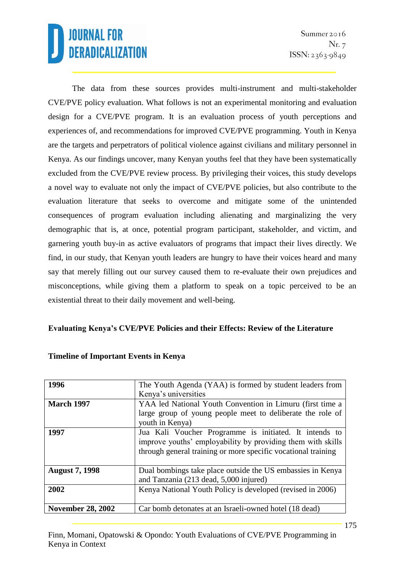The data from these sources provides multi-instrument and multi-stakeholder CVE/PVE policy evaluation. What follows is not an experimental monitoring and evaluation design for a CVE/PVE program. It is an evaluation process of youth perceptions and experiences of, and recommendations for improved CVE/PVE programming. Youth in Kenya are the targets and perpetrators of political violence against civilians and military personnel in Kenya. As our findings uncover, many Kenyan youths feel that they have been systematically excluded from the CVE/PVE review process. By privileging their voices, this study develops a novel way to evaluate not only the impact of CVE/PVE policies, but also contribute to the evaluation literature that seeks to overcome and mitigate some of the unintended consequences of program evaluation including alienating and marginalizing the very demographic that is, at once, potential program participant, stakeholder, and victim, and garnering youth buy-in as active evaluators of programs that impact their lives directly. We find, in our study, that Kenyan youth leaders are hungry to have their voices heard and many say that merely filling out our survey caused them to re-evaluate their own prejudices and misconceptions, while giving them a platform to speak on a topic perceived to be an existential threat to their daily movement and well-being.

#### **Evaluating Kenya's CVE/PVE Policies and their Effects: Review of the Literature**

| 1996                     | The Youth Agenda (YAA) is formed by student leaders from<br>Kenya's universities                                                                                                       |
|--------------------------|----------------------------------------------------------------------------------------------------------------------------------------------------------------------------------------|
| <b>March 1997</b>        | YAA led National Youth Convention in Limuru (first time a<br>large group of young people meet to deliberate the role of<br>youth in Kenya)                                             |
| 1997                     | Jua Kali Voucher Programme is initiated. It intends to<br>improve youths' employability by providing them with skills<br>through general training or more specific vocational training |
| <b>August 7, 1998</b>    | Dual bombings take place outside the US embassies in Kenya<br>and Tanzania (213 dead, 5,000 injured)                                                                                   |
| 2002                     | Kenya National Youth Policy is developed (revised in 2006)                                                                                                                             |
| <b>November 28, 2002</b> | Car bomb detonates at an Israeli-owned hotel (18 dead)                                                                                                                                 |

#### **Timeline of Important Events in Kenya**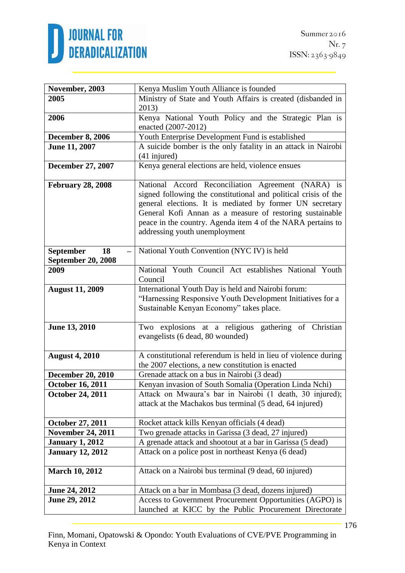

| November, 2003            | Kenya Muslim Youth Alliance is founded                          |
|---------------------------|-----------------------------------------------------------------|
| 2005                      | Ministry of State and Youth Affairs is created (disbanded in    |
|                           | 2013)                                                           |
| 2006                      | Kenya National Youth Policy and the Strategic Plan is           |
|                           | enacted (2007-2012)                                             |
| <b>December 8, 2006</b>   | Youth Enterprise Development Fund is established                |
| <b>June 11, 2007</b>      | A suicide bomber is the only fatality in an attack in Nairobi   |
|                           | $(41$ injured)                                                  |
| December 27, 2007         | Kenya general elections are held, violence ensues               |
|                           |                                                                 |
| <b>February 28, 2008</b>  | National Accord Reconciliation Agreement (NARA) is              |
|                           | signed following the constitutional and political crisis of the |
|                           | general elections. It is mediated by former UN secretary        |
|                           | General Kofi Annan as a measure of restoring sustainable        |
|                           | peace in the country. Agenda item 4 of the NARA pertains to     |
|                           | addressing youth unemployment                                   |
|                           |                                                                 |
| <b>September</b><br>18    | National Youth Convention (NYC IV) is held                      |
| <b>September 20, 2008</b> |                                                                 |
| 2009                      | National Youth Council Act establishes National Youth           |
|                           | Council                                                         |
| <b>August 11, 2009</b>    | International Youth Day is held and Nairobi forum:              |
|                           | "Harnessing Responsive Youth Development Initiatives for a      |
|                           | Sustainable Kenyan Economy" takes place.                        |
|                           |                                                                 |
| <b>June 13, 2010</b>      | Two explosions at a religious gathering of Christian            |
|                           | evangelists (6 dead, 80 wounded)                                |
|                           |                                                                 |
| <b>August 4, 2010</b>     | A constitutional referendum is held in lieu of violence during  |
|                           | the 2007 elections, a new constitution is enacted               |
| <b>December 20, 2010</b>  | Grenade attack on a bus in Nairobi (3 dead)                     |
| <b>October 16, 2011</b>   | Kenyan invasion of South Somalia (Operation Linda Nchi)         |
| <b>October 24, 2011</b>   | Attack on Mwaura's bar in Nairobi (1 death, 30 injured);        |
|                           | attack at the Machakos bus terminal (5 dead, 64 injured)        |
|                           |                                                                 |
| October 27, 2011          | Rocket attack kills Kenyan officials (4 dead)                   |
| <b>November 24, 2011</b>  | Two grenade attacks in Garissa (3 dead, 27 injured)             |
| <b>January 1, 2012</b>    | A grenade attack and shootout at a bar in Garissa (5 dead)      |
| <b>January 12, 2012</b>   | Attack on a police post in northeast Kenya (6 dead)             |
|                           |                                                                 |
| <b>March 10, 2012</b>     | Attack on a Nairobi bus terminal (9 dead, 60 injured)           |
|                           |                                                                 |
| <b>June 24, 2012</b>      | Attack on a bar in Mombasa (3 dead, dozens injured)             |
| June 29, 2012             | Access to Government Procurement Opportunities (AGPO) is        |
|                           | launched at KICC by the Public Procurement Directorate          |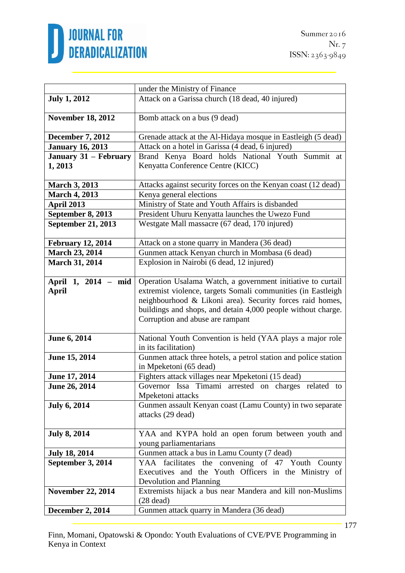

|                                     | under the Ministry of Finance                                                                                                                                                                                                                                                                |
|-------------------------------------|----------------------------------------------------------------------------------------------------------------------------------------------------------------------------------------------------------------------------------------------------------------------------------------------|
| <b>July 1, 2012</b>                 | Attack on a Garissa church (18 dead, 40 injured)                                                                                                                                                                                                                                             |
| <b>November 18, 2012</b>            | Bomb attack on a bus (9 dead)                                                                                                                                                                                                                                                                |
| <b>December 7, 2012</b>             | Grenade attack at the Al-Hidaya mosque in Eastleigh (5 dead)                                                                                                                                                                                                                                 |
| <b>January 16, 2013</b>             | Attack on a hotel in Garissa (4 dead, 6 injured)                                                                                                                                                                                                                                             |
| January 31 - February<br>1,2013     | Brand Kenya Board holds National Youth Summit at<br>Kenyatta Conference Centre (KICC)                                                                                                                                                                                                        |
| <b>March 3, 2013</b>                | Attacks against security forces on the Kenyan coast (12 dead)                                                                                                                                                                                                                                |
| <b>March 4, 2013</b>                | Kenya general elections                                                                                                                                                                                                                                                                      |
| April 2013                          | Ministry of State and Youth Affairs is disbanded                                                                                                                                                                                                                                             |
| September 8, 2013                   | President Uhuru Kenyatta launches the Uwezo Fund                                                                                                                                                                                                                                             |
| <b>September 21, 2013</b>           | Westgate Mall massacre (67 dead, 170 injured)                                                                                                                                                                                                                                                |
| <b>February 12, 2014</b>            | Attack on a stone quarry in Mandera (36 dead)                                                                                                                                                                                                                                                |
| <b>March 23, 2014</b>               | Gunmen attack Kenyan church in Mombasa (6 dead)                                                                                                                                                                                                                                              |
| <b>March 31, 2014</b>               | Explosion in Nairobi (6 dead, 12 injured)                                                                                                                                                                                                                                                    |
| April 1, 2014 - mid<br><b>April</b> | Operation Usalama Watch, a government initiative to curtail<br>extremist violence, targets Somali communities (in Eastleigh<br>neighbourhood & Likoni area). Security forces raid homes,<br>buildings and shops, and detain 4,000 people without charge.<br>Corruption and abuse are rampant |
| June 6, 2014                        | National Youth Convention is held (YAA plays a major role<br>in its facilitation)                                                                                                                                                                                                            |
| June 15, 2014                       | Gunmen attack three hotels, a petrol station and police station<br>in Mpeketoni (65 dead)                                                                                                                                                                                                    |
| June 17, 2014                       | Fighters attack villages near Mpeketoni (15 dead)                                                                                                                                                                                                                                            |
| June 26, 2014                       | Governor Issa Timami arrested on charges related to<br>Mpeketoni attacks                                                                                                                                                                                                                     |
| <b>July 6, 2014</b>                 | Gunmen assault Kenyan coast (Lamu County) in two separate<br>attacks (29 dead)                                                                                                                                                                                                               |
| <b>July 8, 2014</b>                 | YAA and KYPA hold an open forum between youth and<br>young parliamentarians                                                                                                                                                                                                                  |
| <b>July 18, 2014</b>                | Gunmen attack a bus in Lamu County (7 dead)                                                                                                                                                                                                                                                  |
| September 3, 2014                   | YAA facilitates the convening of 47 Youth County<br>Executives and the Youth Officers in the Ministry of<br>Devolution and Planning                                                                                                                                                          |
| <b>November 22, 2014</b>            | Extremists hijack a bus near Mandera and kill non-Muslims<br>$(28$ dead)                                                                                                                                                                                                                     |
| <b>December 2, 2014</b>             | Gunmen attack quarry in Mandera (36 dead)                                                                                                                                                                                                                                                    |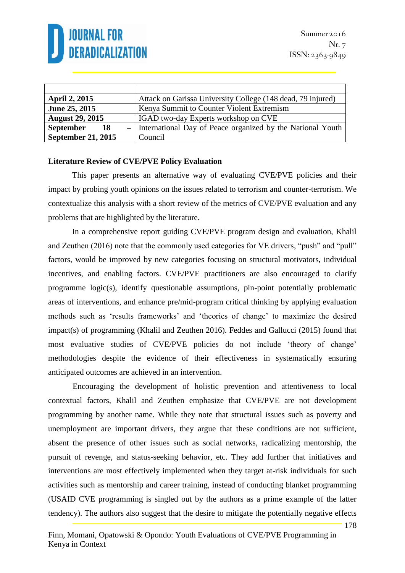

| <b>April 2, 2015</b>      | Attack on Garissa University College (148 dead, 79 injured)  |
|---------------------------|--------------------------------------------------------------|
| June 25, 2015             | Kenya Summit to Counter Violent Extremism                    |
| <b>August 29, 2015</b>    | IGAD two-day Experts workshop on CVE                         |
| <b>September</b><br>-18   | - International Day of Peace organized by the National Youth |
| <b>September 21, 2015</b> | Council                                                      |

#### **Literature Review of CVE/PVE Policy Evaluation**

This paper presents an alternative way of evaluating CVE/PVE policies and their impact by probing youth opinions on the issues related to terrorism and counter-terrorism. We contextualize this analysis with a short review of the metrics of CVE/PVE evaluation and any problems that are highlighted by the literature.

In a comprehensive report guiding CVE/PVE program design and evaluation, Khalil and Zeuthen (2016) note that the commonly used categories for VE drivers, "push" and "pull" factors, would be improved by new categories focusing on structural motivators, individual incentives, and enabling factors. CVE/PVE practitioners are also encouraged to clarify programme logic(s), identify questionable assumptions, pin-point potentially problematic areas of interventions, and enhance pre/mid-program critical thinking by applying evaluation methods such as 'results frameworks' and 'theories of change' to maximize the desired impact(s) of programming (Khalil and Zeuthen 2016). Feddes and Gallucci (2015) found that most evaluative studies of CVE/PVE policies do not include 'theory of change' methodologies despite the evidence of their effectiveness in systematically ensuring anticipated outcomes are achieved in an intervention.

Encouraging the development of holistic prevention and attentiveness to local contextual factors, Khalil and Zeuthen emphasize that CVE/PVE are not development programming by another name. While they note that structural issues such as poverty and unemployment are important drivers, they argue that these conditions are not sufficient, absent the presence of other issues such as social networks, radicalizing mentorship, the pursuit of revenge, and status-seeking behavior, etc. They add further that initiatives and interventions are most effectively implemented when they target at-risk individuals for such activities such as mentorship and career training, instead of conducting blanket programming (USAID CVE programming is singled out by the authors as a prime example of the latter tendency). The authors also suggest that the desire to mitigate the potentially negative effects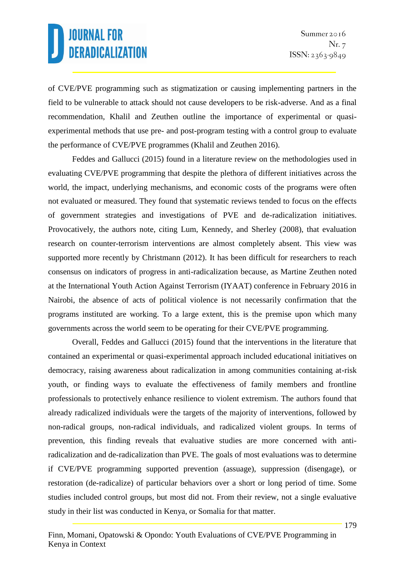of CVE/PVE programming such as stigmatization or causing implementing partners in the field to be vulnerable to attack should not cause developers to be risk-adverse. And as a final recommendation, Khalil and Zeuthen outline the importance of experimental or quasiexperimental methods that use pre- and post-program testing with a control group to evaluate the performance of CVE/PVE programmes (Khalil and Zeuthen 2016).

Feddes and Gallucci (2015) found in a literature review on the methodologies used in evaluating CVE/PVE programming that despite the plethora of different initiatives across the world, the impact, underlying mechanisms, and economic costs of the programs were often not evaluated or measured. They found that systematic reviews tended to focus on the effects of government strategies and investigations of PVE and de-radicalization initiatives. Provocatively, the authors note, citing Lum, Kennedy, and Sherley (2008), that evaluation research on counter-terrorism interventions are almost completely absent. This view was supported more recently by Christmann (2012). It has been difficult for researchers to reach consensus on indicators of progress in anti-radicalization because, as Martine Zeuthen noted at the International Youth Action Against Terrorism (IYAAT) conference in February 2016 in Nairobi, the absence of acts of political violence is not necessarily confirmation that the programs instituted are working. To a large extent, this is the premise upon which many governments across the world seem to be operating for their CVE/PVE programming.

Overall, Feddes and Gallucci (2015) found that the interventions in the literature that contained an experimental or quasi-experimental approach included educational initiatives on democracy, raising awareness about radicalization in among communities containing at-risk youth, or finding ways to evaluate the effectiveness of family members and frontline professionals to protectively enhance resilience to violent extremism. The authors found that already radicalized individuals were the targets of the majority of interventions, followed by non-radical groups, non-radical individuals, and radicalized violent groups. In terms of prevention, this finding reveals that evaluative studies are more concerned with antiradicalization and de-radicalization than PVE. The goals of most evaluations was to determine if CVE/PVE programming supported prevention (assuage), suppression (disengage), or restoration (de-radicalize) of particular behaviors over a short or long period of time. Some studies included control groups, but most did not. From their review, not a single evaluative study in their list was conducted in Kenya, or Somalia for that matter.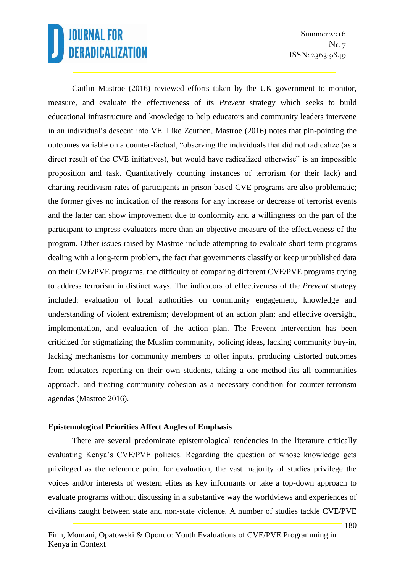Summer 2016 Nr. 7  $ISSN: 2363-9849$ 

Caitlin Mastroe (2016) reviewed efforts taken by the UK government to monitor, measure, and evaluate the effectiveness of its *Prevent* strategy which seeks to build educational infrastructure and knowledge to help educators and community leaders intervene in an individual's descent into VE. Like Zeuthen, Mastroe (2016) notes that pin-pointing the outcomes variable on a counter-factual, "observing the individuals that did not radicalize (as a direct result of the CVE initiatives), but would have radicalized otherwise" is an impossible proposition and task. Quantitatively counting instances of terrorism (or their lack) and charting recidivism rates of participants in prison-based CVE programs are also problematic; the former gives no indication of the reasons for any increase or decrease of terrorist events and the latter can show improvement due to conformity and a willingness on the part of the participant to impress evaluators more than an objective measure of the effectiveness of the program. Other issues raised by Mastroe include attempting to evaluate short-term programs dealing with a long-term problem, the fact that governments classify or keep unpublished data on their CVE/PVE programs, the difficulty of comparing different CVE/PVE programs trying to address terrorism in distinct ways. The indicators of effectiveness of the *Prevent* strategy included: evaluation of local authorities on community engagement, knowledge and understanding of violent extremism; development of an action plan; and effective oversight, implementation, and evaluation of the action plan. The Prevent intervention has been criticized for stigmatizing the Muslim community, policing ideas, lacking community buy-in, lacking mechanisms for community members to offer inputs, producing distorted outcomes from educators reporting on their own students, taking a one-method-fits all communities approach, and treating community cohesion as a necessary condition for counter-terrorism agendas (Mastroe 2016).

#### **Epistemological Priorities Affect Angles of Emphasis**

There are several predominate epistemological tendencies in the literature critically evaluating Kenya's CVE/PVE policies. Regarding the question of whose knowledge gets privileged as the reference point for evaluation, the vast majority of studies privilege the voices and/or interests of western elites as key informants or take a top-down approach to evaluate programs without discussing in a substantive way the worldviews and experiences of civilians caught between state and non-state violence. A number of studies tackle CVE/PVE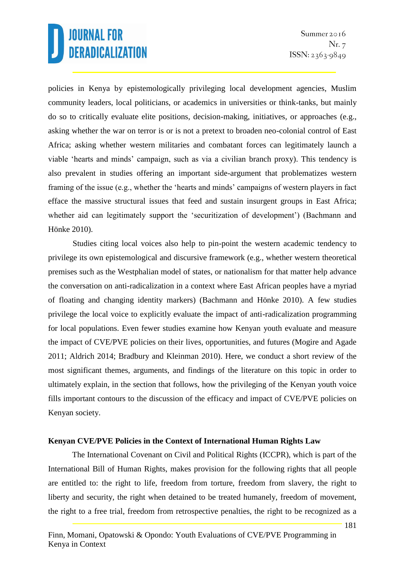policies in Kenya by epistemologically privileging local development agencies, Muslim community leaders, local politicians, or academics in universities or think-tanks, but mainly do so to critically evaluate elite positions, decision-making, initiatives, or approaches (e.g., asking whether the war on terror is or is not a pretext to broaden neo-colonial control of East Africa; asking whether western militaries and combatant forces can legitimately launch a viable 'hearts and minds' campaign, such as via a civilian branch proxy). This tendency is also prevalent in studies offering an important side-argument that problematizes western framing of the issue (e.g., whether the 'hearts and minds' campaigns of western players in fact efface the massive structural issues that feed and sustain insurgent groups in East Africa; whether aid can legitimately support the 'securitization of development') (Bachmann and Hönke 2010).

Studies citing local voices also help to pin-point the western academic tendency to privilege its own epistemological and discursive framework (e.g., whether western theoretical premises such as the Westphalian model of states, or nationalism for that matter help advance the conversation on anti-radicalization in a context where East African peoples have a myriad of floating and changing identity markers) (Bachmann and Hönke 2010). A few studies privilege the local voice to explicitly evaluate the impact of anti-radicalization programming for local populations. Even fewer studies examine how Kenyan youth evaluate and measure the impact of CVE/PVE policies on their lives, opportunities, and futures (Mogire and Agade 2011; Aldrich 2014; Bradbury and Kleinman 2010). Here, we conduct a short review of the most significant themes, arguments, and findings of the literature on this topic in order to ultimately explain, in the section that follows, how the privileging of the Kenyan youth voice fills important contours to the discussion of the efficacy and impact of CVE/PVE policies on Kenyan society.

#### **Kenyan CVE/PVE Policies in the Context of International Human Rights Law**

The International Covenant on Civil and Political Rights (ICCPR), which is part of the International Bill of Human Rights, makes provision for the following rights that all people are entitled to: the right to life, freedom from torture, freedom from slavery, the right to liberty and security, the right when detained to be treated humanely, freedom of movement, the right to a free trial, freedom from retrospective penalties, the right to be recognized as a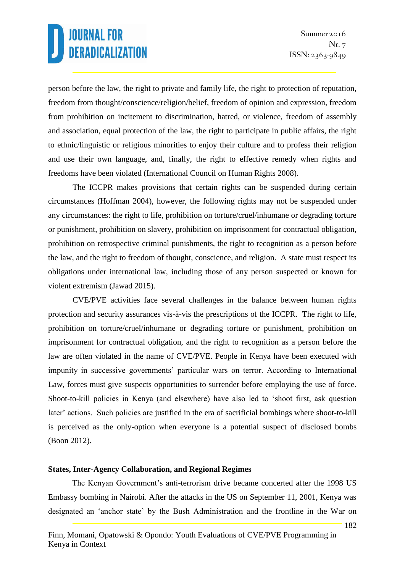person before the law, the right to private and family life, the right to protection of reputation, freedom from thought/conscience/religion/belief, freedom of opinion and expression, freedom from prohibition on incitement to discrimination, hatred, or violence, freedom of assembly and association, equal protection of the law, the right to participate in public affairs, the right to ethnic/linguistic or religious minorities to enjoy their culture and to profess their religion and use their own language, and, finally, the right to effective remedy when rights and freedoms have been violated (International Council on Human Rights 2008).

The ICCPR makes provisions that certain rights can be suspended during certain circumstances (Hoffman 2004), however, the following rights may not be suspended under any circumstances: the right to life, prohibition on torture/cruel/inhumane or degrading torture or punishment, prohibition on slavery, prohibition on imprisonment for contractual obligation, prohibition on retrospective criminal punishments, the right to recognition as a person before the law, and the right to freedom of thought, conscience, and religion. A state must respect its obligations under international law, including those of any person suspected or known for violent extremism (Jawad 2015).

CVE/PVE activities face several challenges in the balance between human rights protection and security assurances vis-à-vis the prescriptions of the ICCPR. The right to life, prohibition on torture/cruel/inhumane or degrading torture or punishment, prohibition on imprisonment for contractual obligation, and the right to recognition as a person before the law are often violated in the name of CVE/PVE. People in Kenya have been executed with impunity in successive governments' particular wars on terror. According to International Law, forces must give suspects opportunities to surrender before employing the use of force. Shoot-to-kill policies in Kenya (and elsewhere) have also led to 'shoot first, ask question later' actions. Such policies are justified in the era of sacrificial bombings where shoot-to-kill is perceived as the only-option when everyone is a potential suspect of disclosed bombs (Boon 2012).

#### **States, Inter-Agency Collaboration, and Regional Regimes**

The Kenyan Government's anti-terrorism drive became concerted after the 1998 US Embassy bombing in Nairobi. After the attacks in the US on September 11, 2001, Kenya was designated an 'anchor state' by the Bush Administration and the frontline in the War on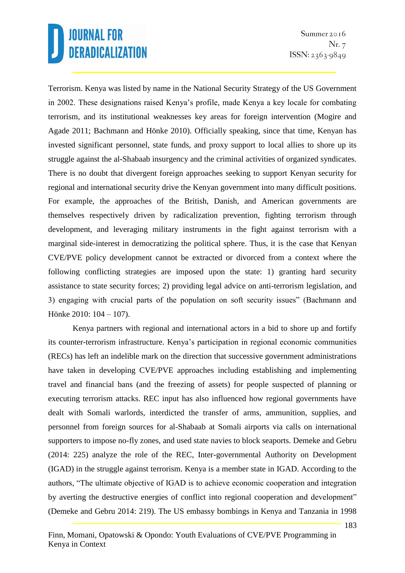Terrorism. Kenya was listed by name in the National Security Strategy of the US Government in 2002. These designations raised Kenya's profile, made Kenya a key locale for combating terrorism, and its institutional weaknesses key areas for foreign intervention (Mogire and Agade 2011; Bachmann and Hönke 2010). Officially speaking, since that time, Kenyan has invested significant personnel, state funds, and proxy support to local allies to shore up its struggle against the al-Shabaab insurgency and the criminal activities of organized syndicates. There is no doubt that divergent foreign approaches seeking to support Kenyan security for regional and international security drive the Kenyan government into many difficult positions. For example, the approaches of the British, Danish, and American governments are themselves respectively driven by radicalization prevention, fighting terrorism through development, and leveraging military instruments in the fight against terrorism with a marginal side-interest in democratizing the political sphere. Thus, it is the case that Kenyan CVE/PVE policy development cannot be extracted or divorced from a context where the following conflicting strategies are imposed upon the state: 1) granting hard security assistance to state security forces; 2) providing legal advice on anti-terrorism legislation, and 3) engaging with crucial parts of the population on soft security issues" (Bachmann and Hönke 2010: 104 – 107).

Kenya partners with regional and international actors in a bid to shore up and fortify its counter-terrorism infrastructure. Kenya's participation in regional economic communities (RECs) has left an indelible mark on the direction that successive government administrations have taken in developing CVE/PVE approaches including establishing and implementing travel and financial bans (and the freezing of assets) for people suspected of planning or executing terrorism attacks. REC input has also influenced how regional governments have dealt with Somali warlords, interdicted the transfer of arms, ammunition, supplies, and personnel from foreign sources for al-Shabaab at Somali airports via calls on international supporters to impose no-fly zones, and used state navies to block seaports. Demeke and Gebru (2014: 225) analyze the role of the REC, Inter-governmental Authority on Development (IGAD) in the struggle against terrorism. Kenya is a member state in IGAD. According to the authors, "The ultimate objective of IGAD is to achieve economic cooperation and integration by averting the destructive energies of conflict into regional cooperation and development" (Demeke and Gebru 2014: 219). The US embassy bombings in Kenya and Tanzania in 1998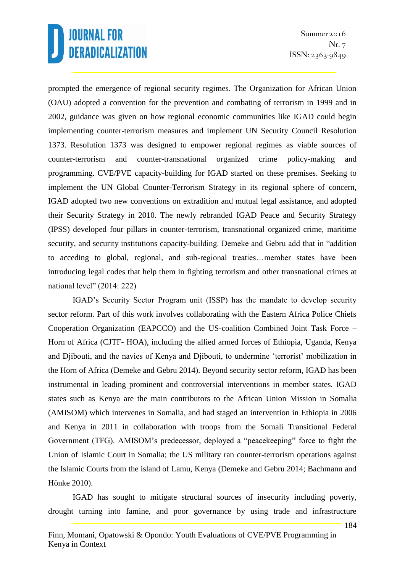prompted the emergence of regional security regimes. The Organization for African Union (OAU) adopted a convention for the prevention and combating of terrorism in 1999 and in 2002, guidance was given on how regional economic communities like IGAD could begin implementing counter-terrorism measures and implement UN Security Council Resolution 1373. Resolution 1373 was designed to empower regional regimes as viable sources of counter-terrorism and counter-transnational organized crime policy-making and programming. CVE/PVE capacity-building for IGAD started on these premises. Seeking to implement the UN Global Counter-Terrorism Strategy in its regional sphere of concern, IGAD adopted two new conventions on extradition and mutual legal assistance, and adopted their Security Strategy in 2010. The newly rebranded IGAD Peace and Security Strategy (IPSS) developed four pillars in counter-terrorism, transnational organized crime, maritime security, and security institutions capacity-building. Demeke and Gebru add that in "addition to acceding to global, regional, and sub-regional treaties…member states have been introducing legal codes that help them in fighting terrorism and other transnational crimes at national level" (2014: 222)

IGAD's Security Sector Program unit (ISSP) has the mandate to develop security sector reform. Part of this work involves collaborating with the Eastern Africa Police Chiefs Cooperation Organization (EAPCCO) and the US-coalition Combined Joint Task Force – Horn of Africa (CJTF- HOA), including the allied armed forces of Ethiopia, Uganda, Kenya and Djibouti, and the navies of Kenya and Djibouti, to undermine 'terrorist' mobilization in the Horn of Africa (Demeke and Gebru 2014). Beyond security sector reform, IGAD has been instrumental in leading prominent and controversial interventions in member states. IGAD states such as Kenya are the main contributors to the African Union Mission in Somalia (AMISOM) which intervenes in Somalia, and had staged an intervention in Ethiopia in 2006 and Kenya in 2011 in collaboration with troops from the Somali Transitional Federal Government (TFG). AMISOM's predecessor, deployed a "peacekeeping" force to fight the Union of Islamic Court in Somalia; the US military ran counter-terrorism operations against the Islamic Courts from the island of Lamu, Kenya (Demeke and Gebru 2014; Bachmann and Hönke 2010).

IGAD has sought to mitigate structural sources of insecurity including poverty, drought turning into famine, and poor governance by using trade and infrastructure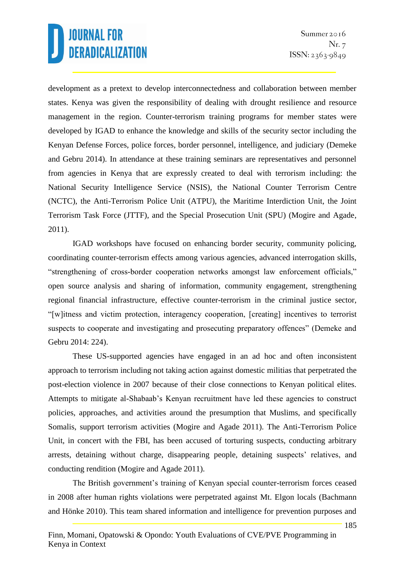development as a pretext to develop interconnectedness and collaboration between member states. Kenya was given the responsibility of dealing with drought resilience and resource management in the region. Counter-terrorism training programs for member states were developed by IGAD to enhance the knowledge and skills of the security sector including the Kenyan Defense Forces, police forces, border personnel, intelligence, and judiciary (Demeke and Gebru 2014). In attendance at these training seminars are representatives and personnel from agencies in Kenya that are expressly created to deal with terrorism including: the National Security Intelligence Service (NSIS), the National Counter Terrorism Centre (NCTC), the Anti-Terrorism Police Unit (ATPU), the Maritime Interdiction Unit, the Joint Terrorism Task Force (JTTF), and the Special Prosecution Unit (SPU) (Mogire and Agade, 2011).

IGAD workshops have focused on enhancing border security, community policing, coordinating counter-terrorism effects among various agencies, advanced interrogation skills, "strengthening of cross-border cooperation networks amongst law enforcement officials," open source analysis and sharing of information, community engagement, strengthening regional financial infrastructure, effective counter-terrorism in the criminal justice sector, "[w]itness and victim protection, interagency cooperation, [creating] incentives to terrorist suspects to cooperate and investigating and prosecuting preparatory offences" (Demeke and Gebru 2014: 224).

These US-supported agencies have engaged in an ad hoc and often inconsistent approach to terrorism including not taking action against domestic militias that perpetrated the post-election violence in 2007 because of their close connections to Kenyan political elites. Attempts to mitigate al-Shabaab's Kenyan recruitment have led these agencies to construct policies, approaches, and activities around the presumption that Muslims, and specifically Somalis, support terrorism activities (Mogire and Agade 2011). The Anti-Terrorism Police Unit, in concert with the FBI, has been accused of torturing suspects, conducting arbitrary arrests, detaining without charge, disappearing people, detaining suspects' relatives, and conducting rendition (Mogire and Agade 2011).

The British government's training of Kenyan special counter-terrorism forces ceased in 2008 after human rights violations were perpetrated against Mt. Elgon locals (Bachmann and Hönke 2010). This team shared information and intelligence for prevention purposes and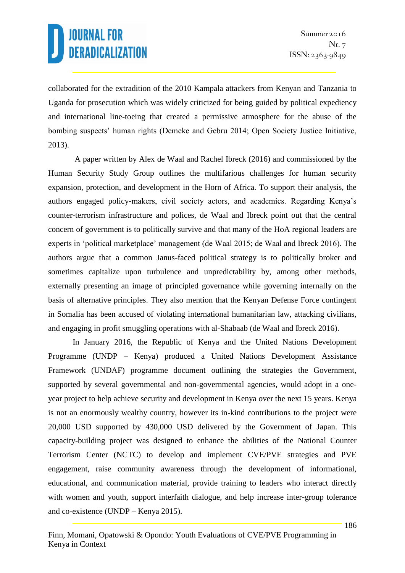collaborated for the extradition of the 2010 Kampala attackers from Kenyan and Tanzania to Uganda for prosecution which was widely criticized for being guided by political expediency and international line-toeing that created a permissive atmosphere for the abuse of the bombing suspects' human rights (Demeke and Gebru 2014; Open Society Justice Initiative, 2013).

A paper written by Alex de Waal and Rachel Ibreck (2016) and commissioned by the Human Security Study Group outlines the multifarious challenges for human security expansion, protection, and development in the Horn of Africa. To support their analysis, the authors engaged policy-makers, civil society actors, and academics. Regarding Kenya's counter-terrorism infrastructure and polices, de Waal and Ibreck point out that the central concern of government is to politically survive and that many of the HoA regional leaders are experts in 'political marketplace' management (de Waal 2015; de Waal and Ibreck 2016). The authors argue that a common Janus-faced political strategy is to politically broker and sometimes capitalize upon turbulence and unpredictability by, among other methods, externally presenting an image of principled governance while governing internally on the basis of alternative principles. They also mention that the Kenyan Defense Force contingent in Somalia has been accused of violating international humanitarian law, attacking civilians, and engaging in profit smuggling operations with al-Shabaab (de Waal and Ibreck 2016).

In January 2016, the Republic of Kenya and the United Nations Development Programme (UNDP – Kenya) produced a United Nations Development Assistance Framework (UNDAF) programme document outlining the strategies the Government, supported by several governmental and non-governmental agencies, would adopt in a oneyear project to help achieve security and development in Kenya over the next 15 years. Kenya is not an enormously wealthy country, however its in-kind contributions to the project were 20,000 USD supported by 430,000 USD delivered by the Government of Japan. This capacity-building project was designed to enhance the abilities of the National Counter Terrorism Center (NCTC) to develop and implement CVE/PVE strategies and PVE engagement, raise community awareness through the development of informational, educational, and communication material, provide training to leaders who interact directly with women and youth, support interfaith dialogue, and help increase inter-group tolerance and co-existence (UNDP – Kenya 2015).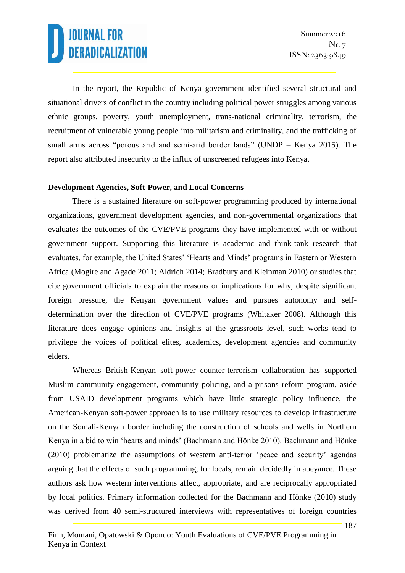In the report, the Republic of Kenya government identified several structural and situational drivers of conflict in the country including political power struggles among various ethnic groups, poverty, youth unemployment, trans-national criminality, terrorism, the recruitment of vulnerable young people into militarism and criminality, and the trafficking of small arms across "porous arid and semi-arid border lands" (UNDP – Kenya 2015). The report also attributed insecurity to the influx of unscreened refugees into Kenya.

#### **Development Agencies, Soft-Power, and Local Concerns**

There is a sustained literature on soft-power programming produced by international organizations, government development agencies, and non-governmental organizations that evaluates the outcomes of the CVE/PVE programs they have implemented with or without government support. Supporting this literature is academic and think-tank research that evaluates, for example, the United States' 'Hearts and Minds' programs in Eastern or Western Africa (Mogire and Agade 2011; Aldrich 2014; Bradbury and Kleinman 2010) or studies that cite government officials to explain the reasons or implications for why, despite significant foreign pressure, the Kenyan government values and pursues autonomy and selfdetermination over the direction of CVE/PVE programs (Whitaker 2008). Although this literature does engage opinions and insights at the grassroots level, such works tend to privilege the voices of political elites, academics, development agencies and community elders.

Whereas British-Kenyan soft-power counter-terrorism collaboration has supported Muslim community engagement, community policing, and a prisons reform program, aside from USAID development programs which have little strategic policy influence, the American-Kenyan soft-power approach is to use military resources to develop infrastructure on the Somali-Kenyan border including the construction of schools and wells in Northern Kenya in a bid to win 'hearts and minds' (Bachmann and Hönke 2010). Bachmann and Hönke (2010) problematize the assumptions of western anti-terror 'peace and security' agendas arguing that the effects of such programming, for locals, remain decidedly in abeyance. These authors ask how western interventions affect, appropriate, and are reciprocally appropriated by local politics. Primary information collected for the Bachmann and Hönke (2010) study was derived from 40 semi-structured interviews with representatives of foreign countries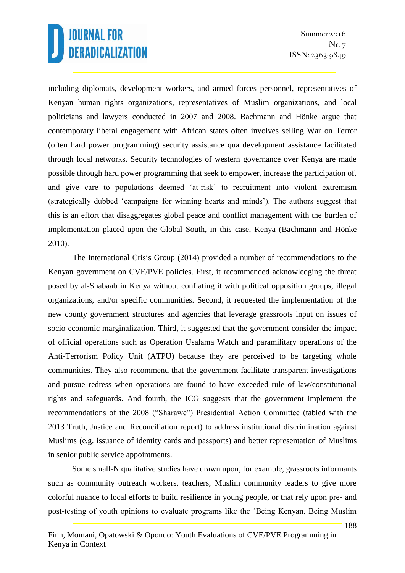including diplomats, development workers, and armed forces personnel, representatives of Kenyan human rights organizations, representatives of Muslim organizations, and local politicians and lawyers conducted in 2007 and 2008. Bachmann and Hönke argue that contemporary liberal engagement with African states often involves selling War on Terror (often hard power programming) security assistance qua development assistance facilitated through local networks. Security technologies of western governance over Kenya are made possible through hard power programming that seek to empower, increase the participation of, and give care to populations deemed 'at-risk' to recruitment into violent extremism (strategically dubbed 'campaigns for winning hearts and minds'). The authors suggest that this is an effort that disaggregates global peace and conflict management with the burden of implementation placed upon the Global South, in this case, Kenya (Bachmann and Hönke 2010).

The International Crisis Group (2014) provided a number of recommendations to the Kenyan government on CVE/PVE policies. First, it recommended acknowledging the threat posed by al-Shabaab in Kenya without conflating it with political opposition groups, illegal organizations, and/or specific communities. Second, it requested the implementation of the new county government structures and agencies that leverage grassroots input on issues of socio-economic marginalization. Third, it suggested that the government consider the impact of official operations such as Operation Usalama Watch and paramilitary operations of the Anti-Terrorism Policy Unit (ATPU) because they are perceived to be targeting whole communities. They also recommend that the government facilitate transparent investigations and pursue redress when operations are found to have exceeded rule of law/constitutional rights and safeguards. And fourth, the ICG suggests that the government implement the recommendations of the 2008 ("Sharawe") Presidential Action Committee (tabled with the 2013 Truth, Justice and Reconciliation report) to address institutional discrimination against Muslims (e.g. issuance of identity cards and passports) and better representation of Muslims in senior public service appointments.

Some small-N qualitative studies have drawn upon, for example, grassroots informants such as community outreach workers, teachers, Muslim community leaders to give more colorful nuance to local efforts to build resilience in young people, or that rely upon pre- and post-testing of youth opinions to evaluate programs like the 'Being Kenyan, Being Muslim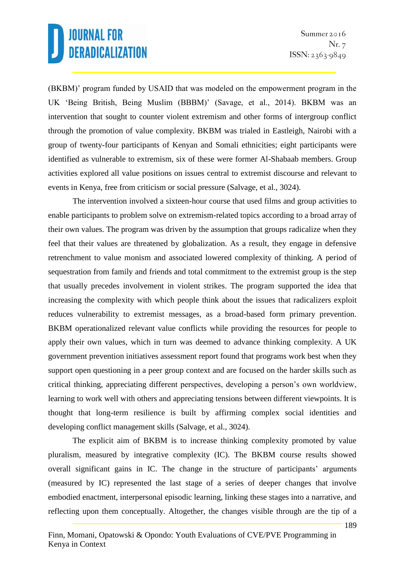(BKBM)' program funded by USAID that was modeled on the empowerment program in the UK 'Being British, Being Muslim (BBBM)' (Savage, et al., 2014). BKBM was an intervention that sought to counter violent extremism and other forms of intergroup conflict through the promotion of value complexity. BKBM was trialed in Eastleigh, Nairobi with a group of twenty-four participants of Kenyan and Somali ethnicities; eight participants were identified as vulnerable to extremism, six of these were former Al-Shabaab members. Group activities explored all value positions on issues central to extremist discourse and relevant to events in Kenya, free from criticism or social pressure (Salvage, et al., 3024).

The intervention involved a sixteen-hour course that used films and group activities to enable participants to problem solve on extremism-related topics according to a broad array of their own values. The program was driven by the assumption that groups radicalize when they feel that their values are threatened by globalization. As a result, they engage in defensive retrenchment to value monism and associated lowered complexity of thinking. A period of sequestration from family and friends and total commitment to the extremist group is the step that usually precedes involvement in violent strikes. The program supported the idea that increasing the complexity with which people think about the issues that radicalizers exploit reduces vulnerability to extremist messages, as a broad-based form primary prevention. BKBM operationalized relevant value conflicts while providing the resources for people to apply their own values, which in turn was deemed to advance thinking complexity. A UK government prevention initiatives assessment report found that programs work best when they support open questioning in a peer group context and are focused on the harder skills such as critical thinking, appreciating different perspectives, developing a person's own worldview, learning to work well with others and appreciating tensions between different viewpoints. It is thought that long-term resilience is built by affirming complex social identities and developing conflict management skills (Salvage, et al., 3024).

The explicit aim of BKBM is to increase thinking complexity promoted by value pluralism, measured by integrative complexity (IC). The BKBM course results showed overall significant gains in IC. The change in the structure of participants' arguments (measured by IC) represented the last stage of a series of deeper changes that involve embodied enactment, interpersonal episodic learning, linking these stages into a narrative, and reflecting upon them conceptually. Altogether, the changes visible through are the tip of a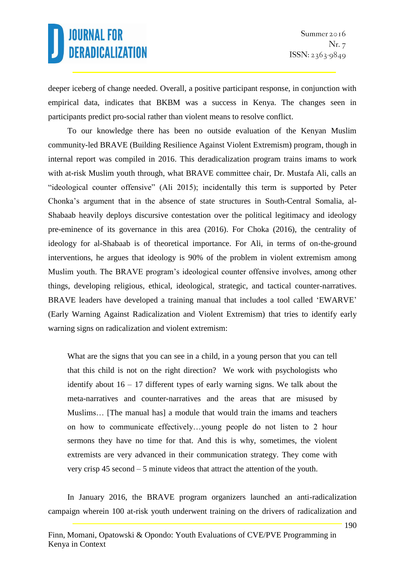deeper iceberg of change needed. Overall, a positive participant response, in conjunction with empirical data, indicates that BKBM was a success in Kenya. The changes seen in participants predict pro-social rather than violent means to resolve conflict.

To our knowledge there has been no outside evaluation of the Kenyan Muslim community-led BRAVE (Building Resilience Against Violent Extremism) program, though in internal report was compiled in 2016. This deradicalization program trains imams to work with at-risk Muslim youth through, what BRAVE committee chair, Dr. Mustafa Ali, calls an "ideological counter offensive" (Ali 2015); incidentally this term is supported by Peter Chonka's argument that in the absence of state structures in South-Central Somalia, al-Shabaab heavily deploys discursive contestation over the political legitimacy and ideology pre-eminence of its governance in this area (2016). For Choka (2016), the centrality of ideology for al-Shabaab is of theoretical importance. For Ali, in terms of on-the-ground interventions, he argues that ideology is 90% of the problem in violent extremism among Muslim youth. The BRAVE program's ideological counter offensive involves, among other things, developing religious, ethical, ideological, strategic, and tactical counter-narratives. BRAVE leaders have developed a training manual that includes a tool called 'EWARVE' (Early Warning Against Radicalization and Violent Extremism) that tries to identify early warning signs on radicalization and violent extremism:

What are the signs that you can see in a child, in a young person that you can tell that this child is not on the right direction? We work with psychologists who identify about 16 – 17 different types of early warning signs. We talk about the meta-narratives and counter-narratives and the areas that are misused by Muslims… [The manual has] a module that would train the imams and teachers on how to communicate effectively…young people do not listen to 2 hour sermons they have no time for that. And this is why, sometimes, the violent extremists are very advanced in their communication strategy. They come with very crisp 45 second – 5 minute videos that attract the attention of the youth.

In January 2016, the BRAVE program organizers launched an anti-radicalization campaign wherein 100 at-risk youth underwent training on the drivers of radicalization and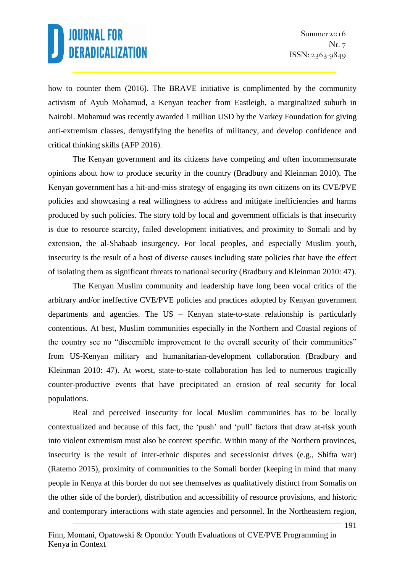how to counter them (2016). The BRAVE initiative is complimented by the community activism of Ayub Mohamud, a Kenyan teacher from Eastleigh, a marginalized suburb in Nairobi. Mohamud was recently awarded 1 million USD by the Varkey Foundation for giving anti-extremism classes, demystifying the benefits of militancy, and develop confidence and critical thinking skills (AFP 2016).

The Kenyan government and its citizens have competing and often incommensurate opinions about how to produce security in the country (Bradbury and Kleinman 2010). The Kenyan government has a hit-and-miss strategy of engaging its own citizens on its CVE/PVE policies and showcasing a real willingness to address and mitigate inefficiencies and harms produced by such policies. The story told by local and government officials is that insecurity is due to resource scarcity, failed development initiatives, and proximity to Somali and by extension, the al-Shabaab insurgency. For local peoples, and especially Muslim youth, insecurity is the result of a host of diverse causes including state policies that have the effect of isolating them as significant threats to national security (Bradbury and Kleinman 2010: 47).

The Kenyan Muslim community and leadership have long been vocal critics of the arbitrary and/or ineffective CVE/PVE policies and practices adopted by Kenyan government departments and agencies. The US – Kenyan state-to-state relationship is particularly contentious. At best, Muslim communities especially in the Northern and Coastal regions of the country see no "discernible improvement to the overall security of their communities" from US-Kenyan military and humanitarian-development collaboration (Bradbury and Kleinman 2010: 47). At worst, state-to-state collaboration has led to numerous tragically counter-productive events that have precipitated an erosion of real security for local populations.

Real and perceived insecurity for local Muslim communities has to be locally contextualized and because of this fact, the 'push' and 'pull' factors that draw at-risk youth into violent extremism must also be context specific. Within many of the Northern provinces, insecurity is the result of inter-ethnic disputes and secessionist drives (e.g., Shifta war) (Ratemo 2015), proximity of communities to the Somali border (keeping in mind that many people in Kenya at this border do not see themselves as qualitatively distinct from Somalis on the other side of the border), distribution and accessibility of resource provisions, and historic and contemporary interactions with state agencies and personnel. In the Northeastern region,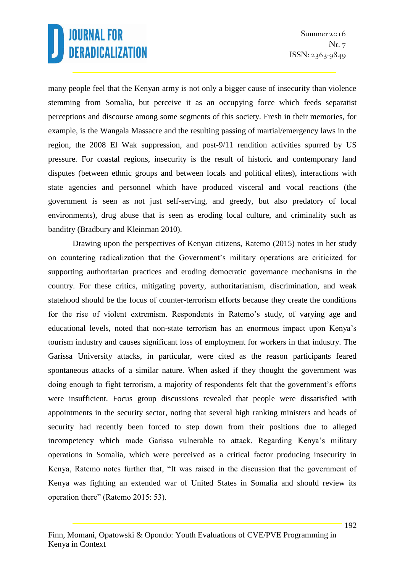many people feel that the Kenyan army is not only a bigger cause of insecurity than violence stemming from Somalia, but perceive it as an occupying force which feeds separatist perceptions and discourse among some segments of this society. Fresh in their memories, for example, is the Wangala Massacre and the resulting passing of martial/emergency laws in the region, the 2008 El Wak suppression, and post-9/11 rendition activities spurred by US pressure. For coastal regions, insecurity is the result of historic and contemporary land disputes (between ethnic groups and between locals and political elites), interactions with state agencies and personnel which have produced visceral and vocal reactions (the government is seen as not just self-serving, and greedy, but also predatory of local environments), drug abuse that is seen as eroding local culture, and criminality such as banditry (Bradbury and Kleinman 2010).

Drawing upon the perspectives of Kenyan citizens, Ratemo (2015) notes in her study on countering radicalization that the Government's military operations are criticized for supporting authoritarian practices and eroding democratic governance mechanisms in the country. For these critics, mitigating poverty, authoritarianism, discrimination, and weak statehood should be the focus of counter-terrorism efforts because they create the conditions for the rise of violent extremism. Respondents in Ratemo's study, of varying age and educational levels, noted that non-state terrorism has an enormous impact upon Kenya's tourism industry and causes significant loss of employment for workers in that industry. The Garissa University attacks, in particular, were cited as the reason participants feared spontaneous attacks of a similar nature. When asked if they thought the government was doing enough to fight terrorism, a majority of respondents felt that the government's efforts were insufficient. Focus group discussions revealed that people were dissatisfied with appointments in the security sector, noting that several high ranking ministers and heads of security had recently been forced to step down from their positions due to alleged incompetency which made Garissa vulnerable to attack. Regarding Kenya's military operations in Somalia, which were perceived as a critical factor producing insecurity in Kenya, Ratemo notes further that, "It was raised in the discussion that the government of Kenya was fighting an extended war of United States in Somalia and should review its operation there" (Ratemo 2015: 53).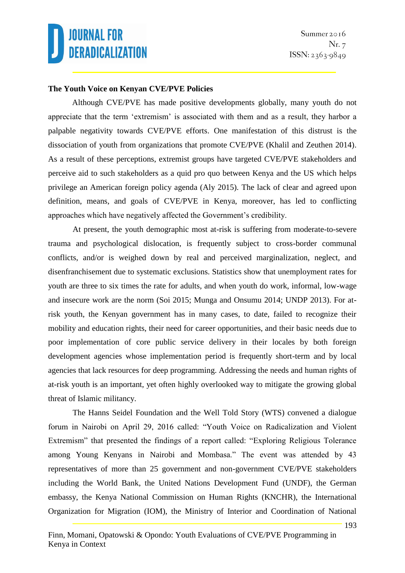#### **The Youth Voice on Kenyan CVE/PVE Policies**

Although CVE/PVE has made positive developments globally, many youth do not appreciate that the term 'extremism' is associated with them and as a result, they harbor a palpable negativity towards CVE/PVE efforts. One manifestation of this distrust is the dissociation of youth from organizations that promote CVE/PVE (Khalil and Zeuthen 2014). As a result of these perceptions, extremist groups have targeted CVE/PVE stakeholders and perceive aid to such stakeholders as a quid pro quo between Kenya and the US which helps privilege an American foreign policy agenda (Aly 2015). The lack of clear and agreed upon definition, means, and goals of CVE/PVE in Kenya, moreover, has led to conflicting approaches which have negatively affected the Government's credibility.

At present, the youth demographic most at-risk is suffering from moderate-to-severe trauma and psychological dislocation, is frequently subject to cross-border communal conflicts, and/or is weighed down by real and perceived marginalization, neglect, and disenfranchisement due to systematic exclusions. Statistics show that unemployment rates for youth are three to six times the rate for adults, and when youth do work, informal, low-wage and insecure work are the norm (Soi 2015; Munga and Onsumu 2014; UNDP 2013). For atrisk youth, the Kenyan government has in many cases, to date, failed to recognize their mobility and education rights, their need for career opportunities, and their basic needs due to poor implementation of core public service delivery in their locales by both foreign development agencies whose implementation period is frequently short-term and by local agencies that lack resources for deep programming. Addressing the needs and human rights of at-risk youth is an important, yet often highly overlooked way to mitigate the growing global threat of Islamic militancy.

The Hanns Seidel Foundation and the Well Told Story (WTS) convened a dialogue forum in Nairobi on April 29, 2016 called: "Youth Voice on Radicalization and Violent Extremism" that presented the findings of a report called: "Exploring Religious Tolerance among Young Kenyans in Nairobi and Mombasa." The event was attended by 43 representatives of more than 25 government and non-government CVE/PVE stakeholders including the World Bank, the United Nations Development Fund (UNDF), the German embassy, the Kenya National Commission on Human Rights (KNCHR), the International Organization for Migration (IOM), the Ministry of Interior and Coordination of National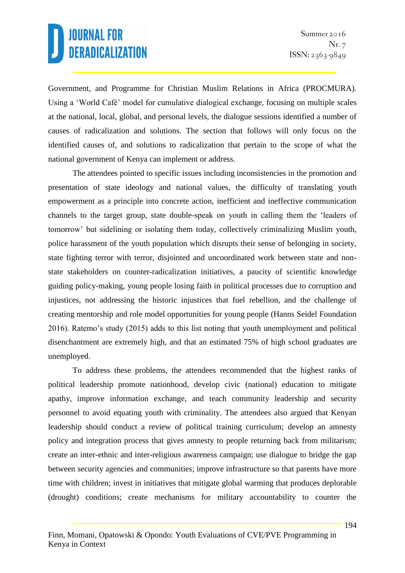Government, and Programme for Christian Muslim Relations in Africa (PROCMURA). Using a 'World Café' model for cumulative dialogical exchange, focusing on multiple scales at the national, local, global, and personal levels, the dialogue sessions identified a number of causes of radicalization and solutions. The section that follows will only focus on the identified causes of, and solutions to radicalization that pertain to the scope of what the national government of Kenya can implement or address.

The attendees pointed to specific issues including inconsistencies in the promotion and presentation of state ideology and national values, the difficulty of translating youth empowerment as a principle into concrete action, inefficient and ineffective communication channels to the target group, state double-speak on youth in calling them the 'leaders of tomorrow' but sidelining or isolating them today, collectively criminalizing Muslim youth, police harassment of the youth population which disrupts their sense of belonging in society, state fighting terror with terror, disjointed and uncoordinated work between state and nonstate stakeholders on counter-radicalization initiatives, a paucity of scientific knowledge guiding policy-making, young people losing faith in political processes due to corruption and injustices, not addressing the historic injustices that fuel rebellion, and the challenge of creating mentorship and role model opportunities for young people (Hanns Seidel Foundation 2016). Ratemo's study (2015) adds to this list noting that youth unemployment and political disenchantment are extremely high, and that an estimated 75% of high school graduates are unemployed.

To address these problems, the attendees recommended that the highest ranks of political leadership promote nationhood, develop civic (national) education to mitigate apathy, improve information exchange, and teach community leadership and security personnel to avoid equating youth with criminality. The attendees also argued that Kenyan leadership should conduct a review of political training curriculum; develop an amnesty policy and integration process that gives amnesty to people returning back from militarism; create an inter-ethnic and inter-religious awareness campaign; use dialogue to bridge the gap between security agencies and communities; improve infrastructure so that parents have more time with children; invest in initiatives that mitigate global warming that produces deplorable (drought) conditions; create mechanisms for military accountability to counter the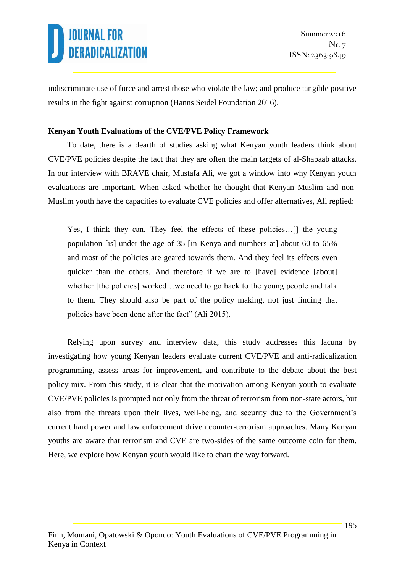indiscriminate use of force and arrest those who violate the law; and produce tangible positive results in the fight against corruption (Hanns Seidel Foundation 2016).

#### **Kenyan Youth Evaluations of the CVE/PVE Policy Framework**

To date, there is a dearth of studies asking what Kenyan youth leaders think about CVE/PVE policies despite the fact that they are often the main targets of al-Shabaab attacks. In our interview with BRAVE chair, Mustafa Ali, we got a window into why Kenyan youth evaluations are important. When asked whether he thought that Kenyan Muslim and non-Muslim youth have the capacities to evaluate CVE policies and offer alternatives, Ali replied:

Yes, I think they can. They feel the effects of these policies…[] the young population [is] under the age of 35 [in Kenya and numbers at] about 60 to 65% and most of the policies are geared towards them. And they feel its effects even quicker than the others. And therefore if we are to [have] evidence [about] whether [the policies] worked...we need to go back to the young people and talk to them. They should also be part of the policy making, not just finding that policies have been done after the fact" (Ali 2015).

Relying upon survey and interview data, this study addresses this lacuna by investigating how young Kenyan leaders evaluate current CVE/PVE and anti-radicalization programming, assess areas for improvement, and contribute to the debate about the best policy mix. From this study, it is clear that the motivation among Kenyan youth to evaluate CVE/PVE policies is prompted not only from the threat of terrorism from non-state actors, but also from the threats upon their lives, well-being, and security due to the Government's current hard power and law enforcement driven counter-terrorism approaches. Many Kenyan youths are aware that terrorism and CVE are two-sides of the same outcome coin for them. Here, we explore how Kenyan youth would like to chart the way forward.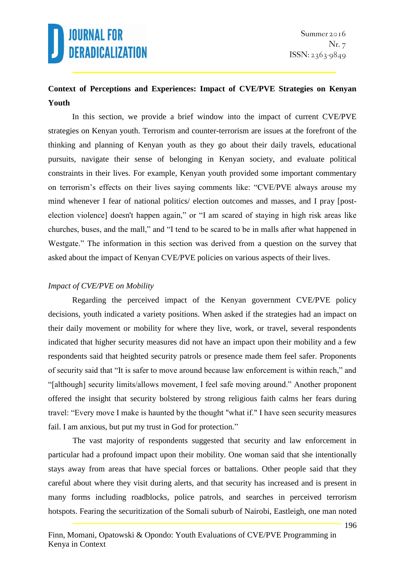### **Context of Perceptions and Experiences: Impact of CVE/PVE Strategies on Kenyan Youth**

In this section, we provide a brief window into the impact of current CVE/PVE strategies on Kenyan youth. Terrorism and counter-terrorism are issues at the forefront of the thinking and planning of Kenyan youth as they go about their daily travels, educational pursuits, navigate their sense of belonging in Kenyan society, and evaluate political constraints in their lives. For example, Kenyan youth provided some important commentary on terrorism's effects on their lives saying comments like: "CVE/PVE always arouse my mind whenever I fear of national politics/ election outcomes and masses, and I pray [postelection violence] doesn't happen again," or "I am scared of staying in high risk areas like churches, buses, and the mall," and "I tend to be scared to be in malls after what happened in Westgate." The information in this section was derived from a question on the survey that asked about the impact of Kenyan CVE/PVE policies on various aspects of their lives.

#### *Impact of CVE/PVE on Mobility*

Regarding the perceived impact of the Kenyan government CVE/PVE policy decisions, youth indicated a variety positions. When asked if the strategies had an impact on their daily movement or mobility for where they live, work, or travel, several respondents indicated that higher security measures did not have an impact upon their mobility and a few respondents said that heighted security patrols or presence made them feel safer. Proponents of security said that "It is safer to move around because law enforcement is within reach," and "[although] security limits/allows movement, I feel safe moving around." Another proponent offered the insight that security bolstered by strong religious faith calms her fears during travel: "Every move I make is haunted by the thought "what if." I have seen security measures fail. I am anxious, but put my trust in God for protection."

The vast majority of respondents suggested that security and law enforcement in particular had a profound impact upon their mobility. One woman said that she intentionally stays away from areas that have special forces or battalions. Other people said that they careful about where they visit during alerts, and that security has increased and is present in many forms including roadblocks, police patrols, and searches in perceived terrorism hotspots. Fearing the securitization of the Somali suburb of Nairobi, Eastleigh, one man noted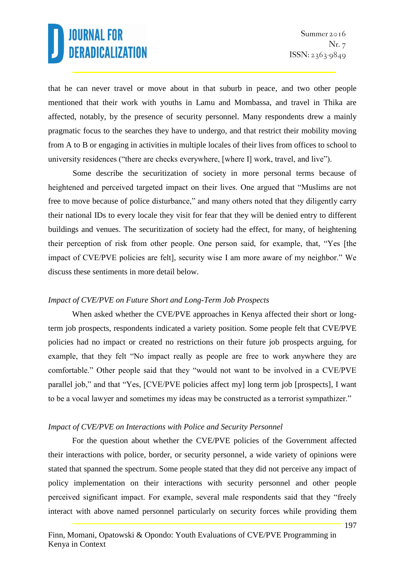that he can never travel or move about in that suburb in peace, and two other people mentioned that their work with youths in Lamu and Mombassa, and travel in Thika are affected, notably, by the presence of security personnel. Many respondents drew a mainly pragmatic focus to the searches they have to undergo, and that restrict their mobility moving from A to B or engaging in activities in multiple locales of their lives from offices to school to university residences ("there are checks everywhere, [where I] work, travel, and live").

Some describe the securitization of society in more personal terms because of heightened and perceived targeted impact on their lives. One argued that "Muslims are not free to move because of police disturbance," and many others noted that they diligently carry their national IDs to every locale they visit for fear that they will be denied entry to different buildings and venues. The securitization of society had the effect, for many, of heightening their perception of risk from other people. One person said, for example, that, "Yes [the impact of CVE/PVE policies are felt], security wise I am more aware of my neighbor." We discuss these sentiments in more detail below.

#### *Impact of CVE/PVE on Future Short and Long-Term Job Prospects*

When asked whether the CVE/PVE approaches in Kenya affected their short or longterm job prospects, respondents indicated a variety position. Some people felt that CVE/PVE policies had no impact or created no restrictions on their future job prospects arguing, for example, that they felt "No impact really as people are free to work anywhere they are comfortable." Other people said that they "would not want to be involved in a CVE/PVE parallel job," and that "Yes, [CVE/PVE policies affect my] long term job [prospects], I want to be a vocal lawyer and sometimes my ideas may be constructed as a terrorist sympathizer."

#### *Impact of CVE/PVE on Interactions with Police and Security Personnel*

For the question about whether the CVE/PVE policies of the Government affected their interactions with police, border, or security personnel, a wide variety of opinions were stated that spanned the spectrum. Some people stated that they did not perceive any impact of policy implementation on their interactions with security personnel and other people perceived significant impact. For example, several male respondents said that they "freely interact with above named personnel particularly on security forces while providing them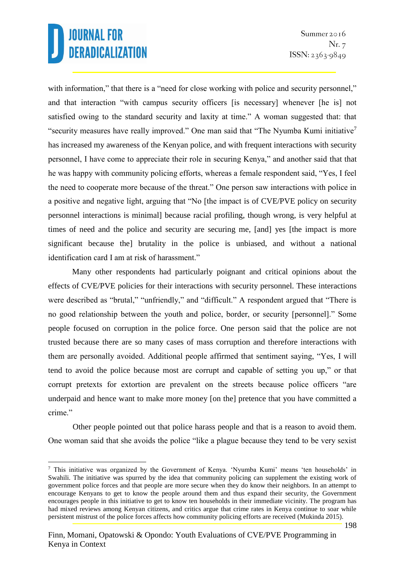1

with information," that there is a "need for close working with police and security personnel," and that interaction "with campus security officers [is necessary] whenever [he is] not satisfied owing to the standard security and laxity at time." A woman suggested that: that "security measures have really improved." One man said that "The Nyumba Kumi initiative<sup>7</sup> has increased my awareness of the Kenyan police, and with frequent interactions with security personnel, I have come to appreciate their role in securing Kenya," and another said that that he was happy with community policing efforts, whereas a female respondent said, "Yes, I feel the need to cooperate more because of the threat." One person saw interactions with police in a positive and negative light, arguing that "No [the impact is of CVE/PVE policy on security personnel interactions is minimal] because racial profiling, though wrong, is very helpful at times of need and the police and security are securing me, [and] yes [the impact is more significant because the] brutality in the police is unbiased, and without a national identification card I am at risk of harassment."

Many other respondents had particularly poignant and critical opinions about the effects of CVE/PVE policies for their interactions with security personnel. These interactions were described as "brutal," "unfriendly," and "difficult." A respondent argued that "There is no good relationship between the youth and police, border, or security [personnel]." Some people focused on corruption in the police force. One person said that the police are not trusted because there are so many cases of mass corruption and therefore interactions with them are personally avoided. Additional people affirmed that sentiment saying, "Yes, I will tend to avoid the police because most are corrupt and capable of setting you up," or that corrupt pretexts for extortion are prevalent on the streets because police officers "are underpaid and hence want to make more money [on the] pretence that you have committed a crime."

Other people pointed out that police harass people and that is a reason to avoid them. One woman said that she avoids the police "like a plague because they tend to be very sexist

<sup>7</sup> This initiative was organized by the Government of Kenya. 'Nyumba Kumi' means 'ten households' in Swahili. The initiative was spurred by the idea that community policing can supplement the existing work of government police forces and that people are more secure when they do know their neighbors. In an attempt to encourage Kenyans to get to know the people around them and thus expand their security, the Government encourages people in this initiative to get to know ten households in their immediate vicinity. The program has had mixed reviews among Kenyan citizens, and critics argue that crime rates in Kenya continue to soar while persistent mistrust of the police forces affects how community policing efforts are received (Mukinda 2015).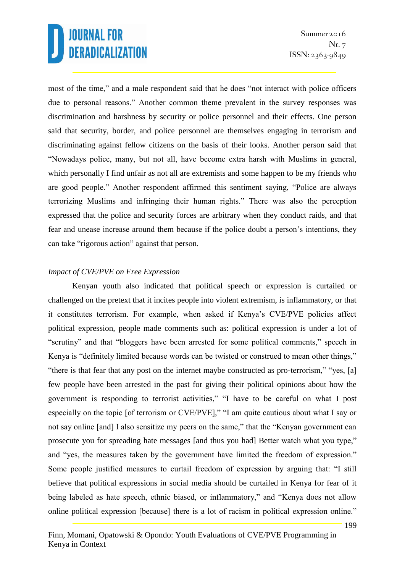most of the time," and a male respondent said that he does "not interact with police officers due to personal reasons." Another common theme prevalent in the survey responses was discrimination and harshness by security or police personnel and their effects. One person said that security, border, and police personnel are themselves engaging in terrorism and discriminating against fellow citizens on the basis of their looks. Another person said that "Nowadays police, many, but not all, have become extra harsh with Muslims in general, which personally I find unfair as not all are extremists and some happen to be my friends who are good people." Another respondent affirmed this sentiment saying, "Police are always terrorizing Muslims and infringing their human rights." There was also the perception expressed that the police and security forces are arbitrary when they conduct raids, and that fear and unease increase around them because if the police doubt a person's intentions, they can take "rigorous action" against that person.

#### *Impact of CVE/PVE on Free Expression*

Kenyan youth also indicated that political speech or expression is curtailed or challenged on the pretext that it incites people into violent extremism, is inflammatory, or that it constitutes terrorism. For example, when asked if Kenya's CVE/PVE policies affect political expression, people made comments such as: political expression is under a lot of "scrutiny" and that "bloggers have been arrested for some political comments," speech in Kenya is "definitely limited because words can be twisted or construed to mean other things," "there is that fear that any post on the internet maybe constructed as pro-terrorism," "yes, [a] few people have been arrested in the past for giving their political opinions about how the government is responding to terrorist activities," "I have to be careful on what I post especially on the topic [of terrorism or CVE/PVE]," "I am quite cautious about what I say or not say online [and] I also sensitize my peers on the same," that the "Kenyan government can prosecute you for spreading hate messages [and thus you had] Better watch what you type," and "yes, the measures taken by the government have limited the freedom of expression." Some people justified measures to curtail freedom of expression by arguing that: "I still believe that political expressions in social media should be curtailed in Kenya for fear of it being labeled as hate speech, ethnic biased, or inflammatory," and "Kenya does not allow online political expression [because] there is a lot of racism in political expression online."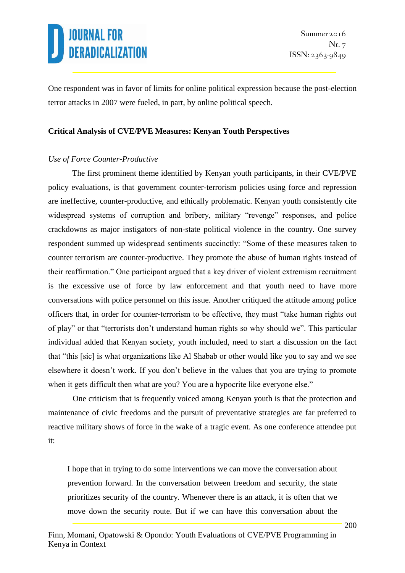One respondent was in favor of limits for online political expression because the post-election terror attacks in 2007 were fueled, in part, by online political speech.

#### **Critical Analysis of CVE/PVE Measures: Kenyan Youth Perspectives**

#### *Use of Force Counter-Productive*

The first prominent theme identified by Kenyan youth participants, in their CVE/PVE policy evaluations, is that government counter-terrorism policies using force and repression are ineffective, counter-productive, and ethically problematic. Kenyan youth consistently cite widespread systems of corruption and bribery, military "revenge" responses, and police crackdowns as major instigators of non-state political violence in the country. One survey respondent summed up widespread sentiments succinctly: "Some of these measures taken to counter terrorism are counter-productive. They promote the abuse of human rights instead of their reaffirmation." One participant argued that a key driver of violent extremism recruitment is the excessive use of force by law enforcement and that youth need to have more conversations with police personnel on this issue. Another critiqued the attitude among police officers that, in order for counter-terrorism to be effective, they must "take human rights out of play" or that "terrorists don't understand human rights so why should we". This particular individual added that Kenyan society, youth included, need to start a discussion on the fact that "this [sic] is what organizations like Al Shabab or other would like you to say and we see elsewhere it doesn't work. If you don't believe in the values that you are trying to promote when it gets difficult then what are you? You are a hypocrite like everyone else."

One criticism that is frequently voiced among Kenyan youth is that the protection and maintenance of civic freedoms and the pursuit of preventative strategies are far preferred to reactive military shows of force in the wake of a tragic event. As one conference attendee put it:

I hope that in trying to do some interventions we can move the conversation about prevention forward. In the conversation between freedom and security, the state prioritizes security of the country. Whenever there is an attack, it is often that we move down the security route. But if we can have this conversation about the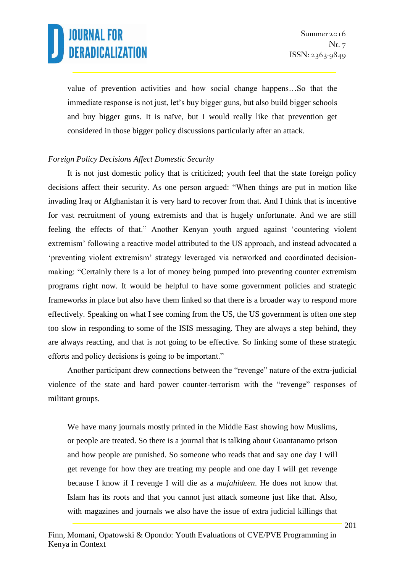value of prevention activities and how social change happens…So that the immediate response is not just, let's buy bigger guns, but also build bigger schools and buy bigger guns. It is naïve, but I would really like that prevention get considered in those bigger policy discussions particularly after an attack.

#### *Foreign Policy Decisions Affect Domestic Security*

It is not just domestic policy that is criticized; youth feel that the state foreign policy decisions affect their security. As one person argued: "When things are put in motion like invading Iraq or Afghanistan it is very hard to recover from that. And I think that is incentive for vast recruitment of young extremists and that is hugely unfortunate. And we are still feeling the effects of that." Another Kenyan youth argued against 'countering violent extremism' following a reactive model attributed to the US approach, and instead advocated a 'preventing violent extremism' strategy leveraged via networked and coordinated decisionmaking: "Certainly there is a lot of money being pumped into preventing counter extremism programs right now. It would be helpful to have some government policies and strategic frameworks in place but also have them linked so that there is a broader way to respond more effectively. Speaking on what I see coming from the US, the US government is often one step too slow in responding to some of the ISIS messaging. They are always a step behind, they are always reacting, and that is not going to be effective. So linking some of these strategic efforts and policy decisions is going to be important."

Another participant drew connections between the "revenge" nature of the extra-judicial violence of the state and hard power counter-terrorism with the "revenge" responses of militant groups.

We have many journals mostly printed in the Middle East showing how Muslims, or people are treated. So there is a journal that is talking about Guantanamo prison and how people are punished. So someone who reads that and say one day I will get revenge for how they are treating my people and one day I will get revenge because I know if I revenge I will die as a *mujahideen*. He does not know that Islam has its roots and that you cannot just attack someone just like that. Also, with magazines and journals we also have the issue of extra judicial killings that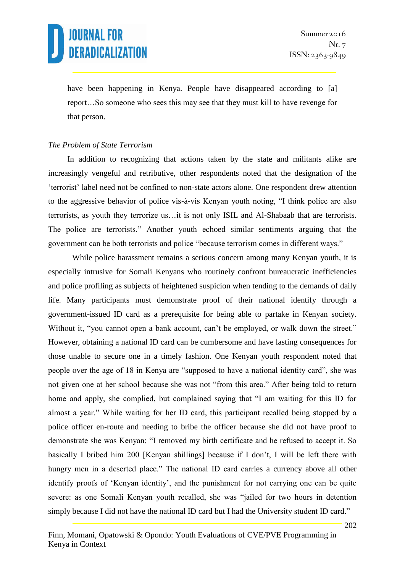have been happening in Kenya. People have disappeared according to [a] report…So someone who sees this may see that they must kill to have revenge for that person.

#### *The Problem of State Terrorism*

In addition to recognizing that actions taken by the state and militants alike are increasingly vengeful and retributive, other respondents noted that the designation of the 'terrorist' label need not be confined to non-state actors alone. One respondent drew attention to the aggressive behavior of police vis-à-vis Kenyan youth noting, "I think police are also terrorists, as youth they terrorize us…it is not only ISIL and Al-Shabaab that are terrorists. The police are terrorists." Another youth echoed similar sentiments arguing that the government can be both terrorists and police "because terrorism comes in different ways."

While police harassment remains a serious concern among many Kenyan youth, it is especially intrusive for Somali Kenyans who routinely confront bureaucratic inefficiencies and police profiling as subjects of heightened suspicion when tending to the demands of daily life. Many participants must demonstrate proof of their national identify through a government-issued ID card as a prerequisite for being able to partake in Kenyan society. Without it, "you cannot open a bank account, can't be employed, or walk down the street." However, obtaining a national ID card can be cumbersome and have lasting consequences for those unable to secure one in a timely fashion. One Kenyan youth respondent noted that people over the age of 18 in Kenya are "supposed to have a national identity card", she was not given one at her school because she was not "from this area." After being told to return home and apply, she complied, but complained saying that "I am waiting for this ID for almost a year." While waiting for her ID card, this participant recalled being stopped by a police officer en-route and needing to bribe the officer because she did not have proof to demonstrate she was Kenyan: "I removed my birth certificate and he refused to accept it. So basically I bribed him 200 [Kenyan shillings] because if I don't, I will be left there with hungry men in a deserted place." The national ID card carries a currency above all other identify proofs of 'Kenyan identity', and the punishment for not carrying one can be quite severe: as one Somali Kenyan youth recalled, she was "jailed for two hours in detention simply because I did not have the national ID card but I had the University student ID card."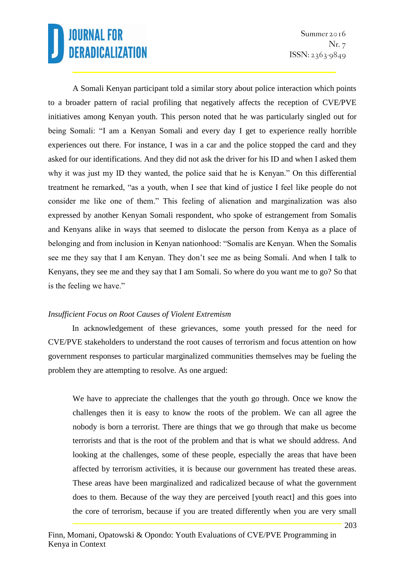A Somali Kenyan participant told a similar story about police interaction which points to a broader pattern of racial profiling that negatively affects the reception of CVE/PVE initiatives among Kenyan youth. This person noted that he was particularly singled out for being Somali: "I am a Kenyan Somali and every day I get to experience really horrible experiences out there. For instance, I was in a car and the police stopped the card and they asked for our identifications. And they did not ask the driver for his ID and when I asked them why it was just my ID they wanted, the police said that he is Kenyan." On this differential treatment he remarked, "as a youth, when I see that kind of justice I feel like people do not consider me like one of them." This feeling of alienation and marginalization was also expressed by another Kenyan Somali respondent, who spoke of estrangement from Somalis and Kenyans alike in ways that seemed to dislocate the person from Kenya as a place of belonging and from inclusion in Kenyan nationhood: "Somalis are Kenyan. When the Somalis see me they say that I am Kenyan. They don't see me as being Somali. And when I talk to Kenyans, they see me and they say that I am Somali. So where do you want me to go? So that is the feeling we have."

#### *Insufficient Focus on Root Causes of Violent Extremism*

In acknowledgement of these grievances, some youth pressed for the need for CVE/PVE stakeholders to understand the root causes of terrorism and focus attention on how government responses to particular marginalized communities themselves may be fueling the problem they are attempting to resolve. As one argued:

We have to appreciate the challenges that the youth go through. Once we know the challenges then it is easy to know the roots of the problem. We can all agree the nobody is born a terrorist. There are things that we go through that make us become terrorists and that is the root of the problem and that is what we should address. And looking at the challenges, some of these people, especially the areas that have been affected by terrorism activities, it is because our government has treated these areas. These areas have been marginalized and radicalized because of what the government does to them. Because of the way they are perceived [youth react] and this goes into the core of terrorism, because if you are treated differently when you are very small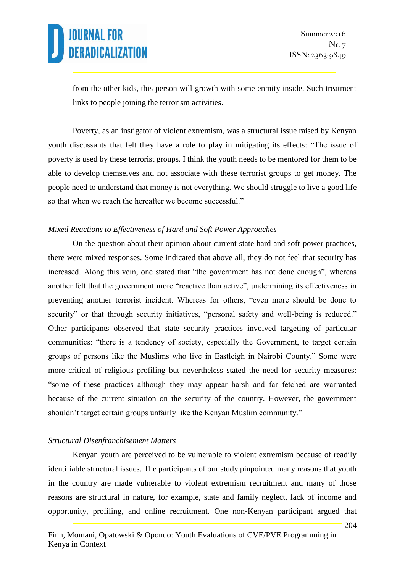from the other kids, this person will growth with some enmity inside. Such treatment links to people joining the terrorism activities.

Poverty, as an instigator of violent extremism, was a structural issue raised by Kenyan youth discussants that felt they have a role to play in mitigating its effects: "The issue of poverty is used by these terrorist groups. I think the youth needs to be mentored for them to be able to develop themselves and not associate with these terrorist groups to get money. The people need to understand that money is not everything. We should struggle to live a good life so that when we reach the hereafter we become successful."

#### *Mixed Reactions to Effectiveness of Hard and Soft Power Approaches*

On the question about their opinion about current state hard and soft-power practices, there were mixed responses. Some indicated that above all, they do not feel that security has increased. Along this vein, one stated that "the government has not done enough", whereas another felt that the government more "reactive than active", undermining its effectiveness in preventing another terrorist incident. Whereas for others, "even more should be done to security" or that through security initiatives, "personal safety and well-being is reduced." Other participants observed that state security practices involved targeting of particular communities: "there is a tendency of society, especially the Government, to target certain groups of persons like the Muslims who live in Eastleigh in Nairobi County." Some were more critical of religious profiling but nevertheless stated the need for security measures: "some of these practices although they may appear harsh and far fetched are warranted because of the current situation on the security of the country. However, the government shouldn't target certain groups unfairly like the Kenyan Muslim community."

#### *Structural Disenfranchisement Matters*

Kenyan youth are perceived to be vulnerable to violent extremism because of readily identifiable structural issues. The participants of our study pinpointed many reasons that youth in the country are made vulnerable to violent extremism recruitment and many of those reasons are structural in nature, for example, state and family neglect, lack of income and opportunity, profiling, and online recruitment. One non-Kenyan participant argued that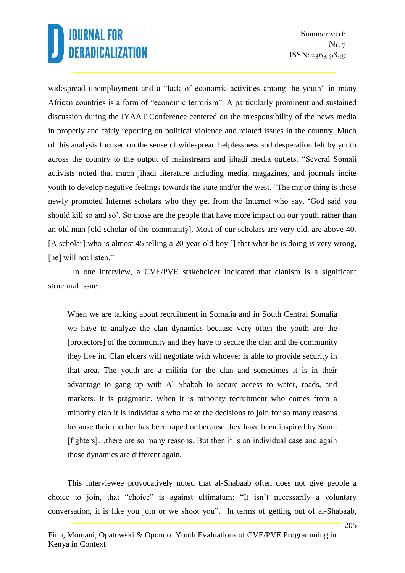widespread unemployment and a "lack of economic activities among the youth" in many African countries is a form of "economic terrorism". A particularly prominent and sustained discussion during the IYAAT Conference centered on the irresponsibility of the news media in properly and fairly reporting on political violence and related issues in the country. Much of this analysis focused on the sense of widespread helplessness and desperation felt by youth across the country to the output of mainstream and jihadi media outlets. "Several Somali activists noted that much jihadi literature including media, magazines, and journals incite youth to develop negative feelings towards the state and/or the west. "The major thing is those newly promoted Internet scholars who they get from the Internet who say, 'God said you should kill so and so'. So those are the people that have more impact on our youth rather than an old man [old scholar of the community]. Most of our scholars are very old, are above 40. [A scholar] who is almost 45 telling a 20-year-old boy [] that what he is doing is very wrong, [he] will not listen."

In one interview, a CVE/PVE stakeholder indicated that clanism is a significant structural issue:

When we are talking about recruitment in Somalia and in South Central Somalia we have to analyze the clan dynamics because very often the youth are the [protectors] of the community and they have to secure the clan and the community they live in. Clan elders will negotiate with whoever is able to provide security in that area. The youth are a militia for the clan and sometimes it is in their advantage to gang up with Al Shabab to secure access to water, roads, and markets. It is pragmatic. When it is minority recruitment who comes from a minority clan it is individuals who make the decisions to join for so many reasons because their mother has been raped or because they have been inspired by Sunni [fighters]…there are so many reasons. But then it is an individual case and again those dynamics are different again.

This interviewee provocatively noted that al-Shabaab often does not give people a choice to join, that "choice" is against ultimatum: "It isn't necessarily a voluntary conversation, it is like you join or we shoot you". In terms of getting out of al-Shabaab,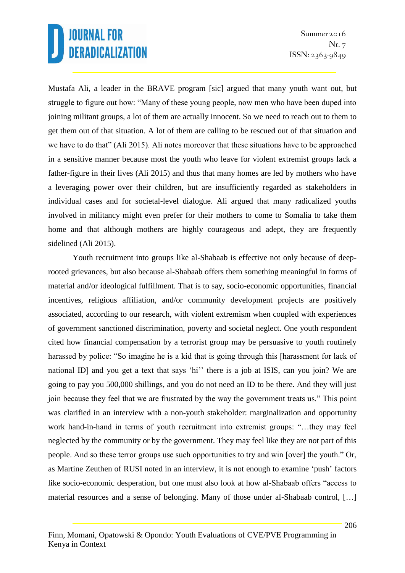Mustafa Ali, a leader in the BRAVE program [sic] argued that many youth want out, but struggle to figure out how: "Many of these young people, now men who have been duped into joining militant groups, a lot of them are actually innocent. So we need to reach out to them to get them out of that situation. A lot of them are calling to be rescued out of that situation and we have to do that" (Ali 2015). Ali notes moreover that these situations have to be approached in a sensitive manner because most the youth who leave for violent extremist groups lack a father-figure in their lives (Ali 2015) and thus that many homes are led by mothers who have a leveraging power over their children, but are insufficiently regarded as stakeholders in individual cases and for societal-level dialogue. Ali argued that many radicalized youths involved in militancy might even prefer for their mothers to come to Somalia to take them home and that although mothers are highly courageous and adept, they are frequently sidelined (Ali 2015).

Youth recruitment into groups like al-Shabaab is effective not only because of deeprooted grievances, but also because al-Shabaab offers them something meaningful in forms of material and/or ideological fulfillment. That is to say, socio-economic opportunities, financial incentives, religious affiliation, and/or community development projects are positively associated, according to our research, with violent extremism when coupled with experiences of government sanctioned discrimination, poverty and societal neglect. One youth respondent cited how financial compensation by a terrorist group may be persuasive to youth routinely harassed by police: "So imagine he is a kid that is going through this [harassment for lack of national ID] and you get a text that says 'hi'' there is a job at ISIS, can you join? We are going to pay you 500,000 shillings, and you do not need an ID to be there. And they will just join because they feel that we are frustrated by the way the government treats us." This point was clarified in an interview with a non-youth stakeholder: marginalization and opportunity work hand-in-hand in terms of youth recruitment into extremist groups: "…they may feel neglected by the community or by the government. They may feel like they are not part of this people. And so these terror groups use such opportunities to try and win [over] the youth." Or, as Martine Zeuthen of RUSI noted in an interview, it is not enough to examine 'push' factors like socio-economic desperation, but one must also look at how al-Shabaab offers "access to material resources and a sense of belonging. Many of those under al-Shabaab control, […]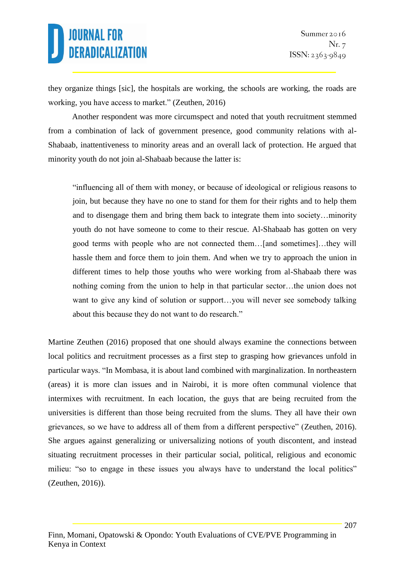they organize things [sic], the hospitals are working, the schools are working, the roads are working, you have access to market." (Zeuthen, 2016)

Another respondent was more circumspect and noted that youth recruitment stemmed from a combination of lack of government presence, good community relations with al-Shabaab, inattentiveness to minority areas and an overall lack of protection. He argued that minority youth do not join al-Shabaab because the latter is:

"influencing all of them with money, or because of ideological or religious reasons to join, but because they have no one to stand for them for their rights and to help them and to disengage them and bring them back to integrate them into society…minority youth do not have someone to come to their rescue. Al-Shabaab has gotten on very good terms with people who are not connected them…[and sometimes]…they will hassle them and force them to join them. And when we try to approach the union in different times to help those youths who were working from al-Shabaab there was nothing coming from the union to help in that particular sector…the union does not want to give any kind of solution or support…you will never see somebody talking about this because they do not want to do research."

Martine Zeuthen (2016) proposed that one should always examine the connections between local politics and recruitment processes as a first step to grasping how grievances unfold in particular ways. "In Mombasa, it is about land combined with marginalization. In northeastern (areas) it is more clan issues and in Nairobi, it is more often communal violence that intermixes with recruitment. In each location, the guys that are being recruited from the universities is different than those being recruited from the slums. They all have their own grievances, so we have to address all of them from a different perspective" (Zeuthen, 2016). She argues against generalizing or universalizing notions of youth discontent, and instead situating recruitment processes in their particular social, political, religious and economic milieu: "so to engage in these issues you always have to understand the local politics" (Zeuthen, 2016)).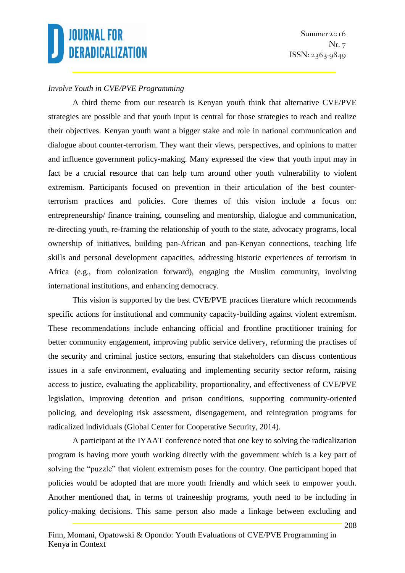#### *Involve Youth in CVE/PVE Programming*

A third theme from our research is Kenyan youth think that alternative CVE/PVE strategies are possible and that youth input is central for those strategies to reach and realize their objectives. Kenyan youth want a bigger stake and role in national communication and dialogue about counter-terrorism. They want their views, perspectives, and opinions to matter and influence government policy-making. Many expressed the view that youth input may in fact be a crucial resource that can help turn around other youth vulnerability to violent extremism. Participants focused on prevention in their articulation of the best counterterrorism practices and policies. Core themes of this vision include a focus on: entrepreneurship/ finance training, counseling and mentorship, dialogue and communication, re-directing youth, re-framing the relationship of youth to the state, advocacy programs, local ownership of initiatives, building pan-African and pan-Kenyan connections, teaching life skills and personal development capacities, addressing historic experiences of terrorism in Africa (e.g., from colonization forward), engaging the Muslim community, involving international institutions, and enhancing democracy.

This vision is supported by the best CVE/PVE practices literature which recommends specific actions for institutional and community capacity-building against violent extremism. These recommendations include enhancing official and frontline practitioner training for better community engagement, improving public service delivery, reforming the practises of the security and criminal justice sectors, ensuring that stakeholders can discuss contentious issues in a safe environment, evaluating and implementing security sector reform, raising access to justice, evaluating the applicability, proportionality, and effectiveness of CVE/PVE legislation, improving detention and prison conditions, supporting community-oriented policing, and developing risk assessment, disengagement, and reintegration programs for radicalized individuals (Global Center for Cooperative Security, 2014).

A participant at the IYAAT conference noted that one key to solving the radicalization program is having more youth working directly with the government which is a key part of solving the "puzzle" that violent extremism poses for the country. One participant hoped that policies would be adopted that are more youth friendly and which seek to empower youth. Another mentioned that, in terms of traineeship programs, youth need to be including in policy-making decisions. This same person also made a linkage between excluding and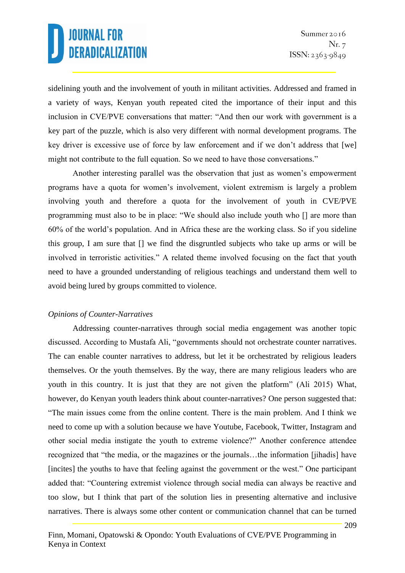sidelining youth and the involvement of youth in militant activities. Addressed and framed in a variety of ways, Kenyan youth repeated cited the importance of their input and this inclusion in CVE/PVE conversations that matter: "And then our work with government is a key part of the puzzle, which is also very different with normal development programs. The key driver is excessive use of force by law enforcement and if we don't address that [we] might not contribute to the full equation. So we need to have those conversations."

Another interesting parallel was the observation that just as women's empowerment programs have a quota for women's involvement, violent extremism is largely a problem involving youth and therefore a quota for the involvement of youth in CVE/PVE programming must also to be in place: "We should also include youth who [] are more than 60% of the world's population. And in Africa these are the working class. So if you sideline this group, I am sure that [] we find the disgruntled subjects who take up arms or will be involved in terroristic activities." A related theme involved focusing on the fact that youth need to have a grounded understanding of religious teachings and understand them well to avoid being lured by groups committed to violence.

#### *Opinions of Counter-Narratives*

Addressing counter-narratives through social media engagement was another topic discussed. According to Mustafa Ali, "governments should not orchestrate counter narratives. The can enable counter narratives to address, but let it be orchestrated by religious leaders themselves. Or the youth themselves. By the way, there are many religious leaders who are youth in this country. It is just that they are not given the platform" (Ali 2015) What, however, do Kenyan youth leaders think about counter-narratives? One person suggested that: "The main issues come from the online content. There is the main problem. And I think we need to come up with a solution because we have Youtube, Facebook, Twitter, Instagram and other social media instigate the youth to extreme violence?" Another conference attendee recognized that "the media, or the magazines or the journals…the information [jihadis] have [incites] the youths to have that feeling against the government or the west." One participant added that: "Countering extremist violence through social media can always be reactive and too slow, but I think that part of the solution lies in presenting alternative and inclusive narratives. There is always some other content or communication channel that can be turned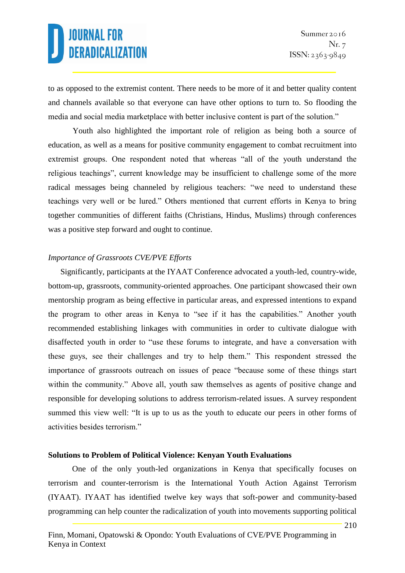to as opposed to the extremist content. There needs to be more of it and better quality content and channels available so that everyone can have other options to turn to. So flooding the media and social media marketplace with better inclusive content is part of the solution."

Youth also highlighted the important role of religion as being both a source of education, as well as a means for positive community engagement to combat recruitment into extremist groups. One respondent noted that whereas "all of the youth understand the religious teachings", current knowledge may be insufficient to challenge some of the more radical messages being channeled by religious teachers: "we need to understand these teachings very well or be lured." Others mentioned that current efforts in Kenya to bring together communities of different faiths (Christians, Hindus, Muslims) through conferences was a positive step forward and ought to continue.

#### *Importance of Grassroots CVE/PVE Efforts*

Significantly, participants at the IYAAT Conference advocated a youth-led, country-wide, bottom-up, grassroots, community-oriented approaches. One participant showcased their own mentorship program as being effective in particular areas, and expressed intentions to expand the program to other areas in Kenya to "see if it has the capabilities." Another youth recommended establishing linkages with communities in order to cultivate dialogue with disaffected youth in order to "use these forums to integrate, and have a conversation with these guys, see their challenges and try to help them." This respondent stressed the importance of grassroots outreach on issues of peace "because some of these things start within the community." Above all, youth saw themselves as agents of positive change and responsible for developing solutions to address terrorism-related issues. A survey respondent summed this view well: "It is up to us as the youth to educate our peers in other forms of activities besides terrorism."

#### **Solutions to Problem of Political Violence: Kenyan Youth Evaluations**

One of the only youth-led organizations in Kenya that specifically focuses on terrorism and counter-terrorism is the International Youth Action Against Terrorism (IYAAT). IYAAT has identified twelve key ways that soft-power and community-based programming can help counter the radicalization of youth into movements supporting political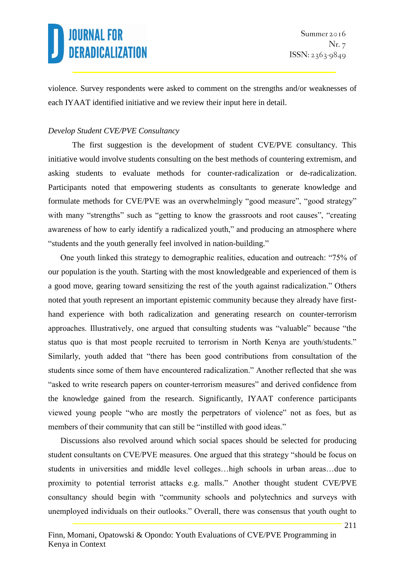violence. Survey respondents were asked to comment on the strengths and/or weaknesses of each IYAAT identified initiative and we review their input here in detail.

#### *Develop Student CVE/PVE Consultancy*

The first suggestion is the development of student CVE/PVE consultancy. This initiative would involve students consulting on the best methods of countering extremism, and asking students to evaluate methods for counter-radicalization or de-radicalization. Participants noted that empowering students as consultants to generate knowledge and formulate methods for CVE/PVE was an overwhelmingly "good measure", "good strategy" with many "strengths" such as "getting to know the grassroots and root causes", "creating awareness of how to early identify a radicalized youth," and producing an atmosphere where "students and the youth generally feel involved in nation-building."

One youth linked this strategy to demographic realities, education and outreach: "75% of our population is the youth. Starting with the most knowledgeable and experienced of them is a good move, gearing toward sensitizing the rest of the youth against radicalization." Others noted that youth represent an important epistemic community because they already have firsthand experience with both radicalization and generating research on counter-terrorism approaches. Illustratively, one argued that consulting students was "valuable" because "the status quo is that most people recruited to terrorism in North Kenya are youth/students." Similarly, youth added that "there has been good contributions from consultation of the students since some of them have encountered radicalization." Another reflected that she was "asked to write research papers on counter-terrorism measures" and derived confidence from the knowledge gained from the research. Significantly, IYAAT conference participants viewed young people "who are mostly the perpetrators of violence" not as foes, but as members of their community that can still be "instilled with good ideas."

Discussions also revolved around which social spaces should be selected for producing student consultants on CVE/PVE measures. One argued that this strategy "should be focus on students in universities and middle level colleges…high schools in urban areas…due to proximity to potential terrorist attacks e.g. malls." Another thought student CVE/PVE consultancy should begin with "community schools and polytechnics and surveys with unemployed individuals on their outlooks." Overall, there was consensus that youth ought to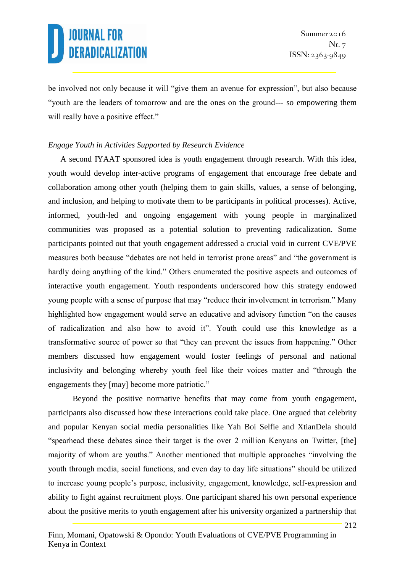be involved not only because it will "give them an avenue for expression", but also because "youth are the leaders of tomorrow and are the ones on the ground--- so empowering them will really have a positive effect."

#### *Engage Youth in Activities Supported by Research Evidence*

A second IYAAT sponsored idea is youth engagement through research. With this idea, youth would develop inter-active programs of engagement that encourage free debate and collaboration among other youth (helping them to gain skills, values, a sense of belonging, and inclusion, and helping to motivate them to be participants in political processes). Active, informed, youth-led and ongoing engagement with young people in marginalized communities was proposed as a potential solution to preventing radicalization. Some participants pointed out that youth engagement addressed a crucial void in current CVE/PVE measures both because "debates are not held in terrorist prone areas" and "the government is hardly doing anything of the kind." Others enumerated the positive aspects and outcomes of interactive youth engagement. Youth respondents underscored how this strategy endowed young people with a sense of purpose that may "reduce their involvement in terrorism." Many highlighted how engagement would serve an educative and advisory function "on the causes of radicalization and also how to avoid it". Youth could use this knowledge as a transformative source of power so that "they can prevent the issues from happening." Other members discussed how engagement would foster feelings of personal and national inclusivity and belonging whereby youth feel like their voices matter and "through the engagements they [may] become more patriotic."

Beyond the positive normative benefits that may come from youth engagement, participants also discussed how these interactions could take place. One argued that celebrity and popular Kenyan social media personalities like Yah Boi Selfie and XtianDela should "spearhead these debates since their target is the over 2 million Kenyans on Twitter, [the] majority of whom are youths." Another mentioned that multiple approaches "involving the youth through media, social functions, and even day to day life situations" should be utilized to increase young people's purpose, inclusivity, engagement, knowledge, self-expression and ability to fight against recruitment ploys. One participant shared his own personal experience about the positive merits to youth engagement after his university organized a partnership that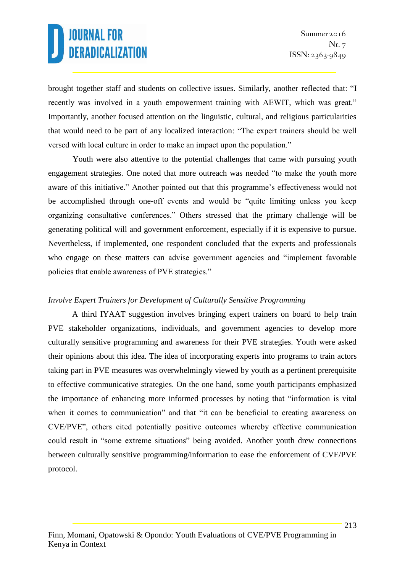brought together staff and students on collective issues. Similarly, another reflected that: "I recently was involved in a youth empowerment training with AEWIT, which was great." Importantly, another focused attention on the linguistic, cultural, and religious particularities that would need to be part of any localized interaction: "The expert trainers should be well versed with local culture in order to make an impact upon the population."

Youth were also attentive to the potential challenges that came with pursuing youth engagement strategies. One noted that more outreach was needed "to make the youth more aware of this initiative." Another pointed out that this programme's effectiveness would not be accomplished through one-off events and would be "quite limiting unless you keep organizing consultative conferences." Others stressed that the primary challenge will be generating political will and government enforcement, especially if it is expensive to pursue. Nevertheless, if implemented, one respondent concluded that the experts and professionals who engage on these matters can advise government agencies and "implement favorable policies that enable awareness of PVE strategies."

#### *Involve Expert Trainers for Development of Culturally Sensitive Programming*

A third IYAAT suggestion involves bringing expert trainers on board to help train PVE stakeholder organizations, individuals, and government agencies to develop more culturally sensitive programming and awareness for their PVE strategies. Youth were asked their opinions about this idea. The idea of incorporating experts into programs to train actors taking part in PVE measures was overwhelmingly viewed by youth as a pertinent prerequisite to effective communicative strategies. On the one hand, some youth participants emphasized the importance of enhancing more informed processes by noting that "information is vital when it comes to communication" and that "it can be beneficial to creating awareness on CVE/PVE", others cited potentially positive outcomes whereby effective communication could result in "some extreme situations" being avoided. Another youth drew connections between culturally sensitive programming/information to ease the enforcement of CVE/PVE protocol.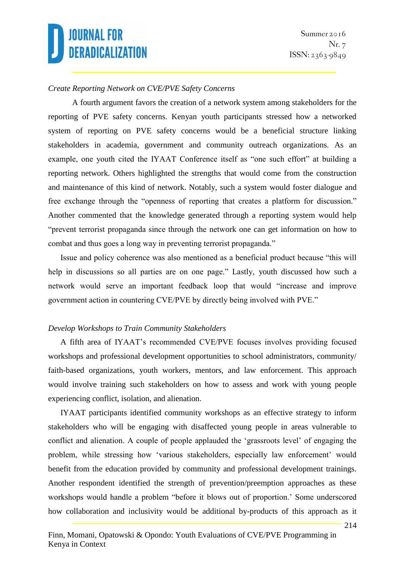#### *Create Reporting Network on CVE/PVE Safety Concerns*

A fourth argument favors the creation of a network system among stakeholders for the reporting of PVE safety concerns. Kenyan youth participants stressed how a networked system of reporting on PVE safety concerns would be a beneficial structure linking stakeholders in academia, government and community outreach organizations. As an example, one youth cited the IYAAT Conference itself as "one such effort" at building a reporting network. Others highlighted the strengths that would come from the construction and maintenance of this kind of network. Notably, such a system would foster dialogue and free exchange through the "openness of reporting that creates a platform for discussion." Another commented that the knowledge generated through a reporting system would help "prevent terrorist propaganda since through the network one can get information on how to combat and thus goes a long way in preventing terrorist propaganda."

Issue and policy coherence was also mentioned as a beneficial product because "this will help in discussions so all parties are on one page." Lastly, youth discussed how such a network would serve an important feedback loop that would "increase and improve government action in countering CVE/PVE by directly being involved with PVE."

#### *Develop Workshops to Train Community Stakeholders*

A fifth area of IYAAT's recommended CVE/PVE focuses involves providing focused workshops and professional development opportunities to school administrators, community/ faith-based organizations, youth workers, mentors, and law enforcement. This approach would involve training such stakeholders on how to assess and work with young people experiencing conflict, isolation, and alienation.

IYAAT participants identified community workshops as an effective strategy to inform stakeholders who will be engaging with disaffected young people in areas vulnerable to conflict and alienation. A couple of people applauded the 'grassroots level' of engaging the problem, while stressing how 'various stakeholders, especially law enforcement' would benefit from the education provided by community and professional development trainings. Another respondent identified the strength of prevention/preemption approaches as these workshops would handle a problem "before it blows out of proportion.' Some underscored how collaboration and inclusivity would be additional by-products of this approach as it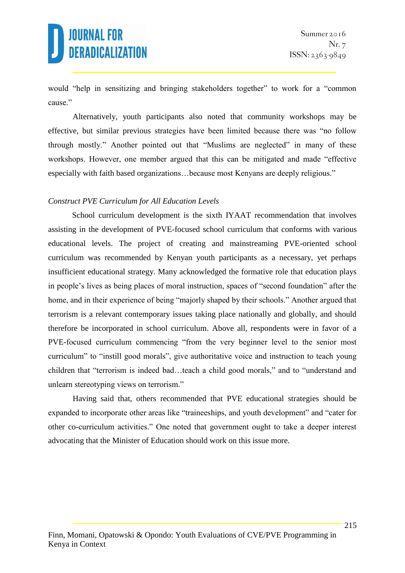would "help in sensitizing and bringing stakeholders together" to work for a "common cause."

Alternatively, youth participants also noted that community workshops may be effective, but similar previous strategies have been limited because there was "no follow through mostly." Another pointed out that "Muslims are neglected" in many of these workshops. However, one member argued that this can be mitigated and made "effective especially with faith based organizations…because most Kenyans are deeply religious."

#### *Construct PVE Curriculum for All Education Levels*

School curriculum development is the sixth IYAAT recommendation that involves assisting in the development of PVE-focused school curriculum that conforms with various educational levels. The project of creating and mainstreaming PVE-oriented school curriculum was recommended by Kenyan youth participants as a necessary, yet perhaps insufficient educational strategy. Many acknowledged the formative role that education plays in people's lives as being places of moral instruction, spaces of "second foundation" after the home, and in their experience of being "majorly shaped by their schools." Another argued that terrorism is a relevant contemporary issues taking place nationally and globally, and should therefore be incorporated in school curriculum. Above all, respondents were in favor of a PVE-focused curriculum commencing "from the very beginner level to the senior most curriculum" to "instill good morals", give authoritative voice and instruction to teach young children that "terrorism is indeed bad…teach a child good morals," and to "understand and unlearn stereotyping views on terrorism."

Having said that, others recommended that PVE educational strategies should be expanded to incorporate other areas like "traineeships, and youth development" and "cater for other co-curriculum activities." One noted that government ought to take a deeper interest advocating that the Minister of Education should work on this issue more.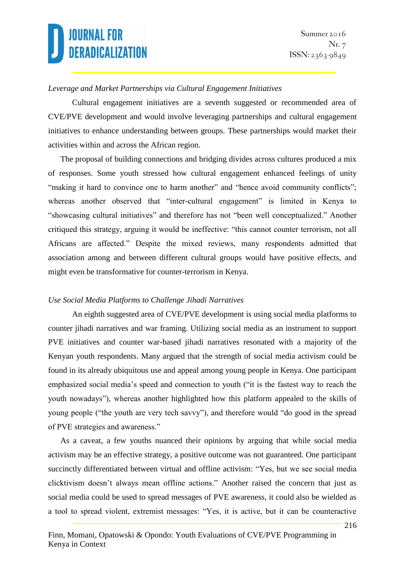#### *Leverage and Market Partnerships via Cultural Engagement Initiatives*

Cultural engagement initiatives are a seventh suggested or recommended area of CVE/PVE development and would involve leveraging partnerships and cultural engagement initiatives to enhance understanding between groups. These partnerships would market their activities within and across the African region.

The proposal of building connections and bridging divides across cultures produced a mix of responses. Some youth stressed how cultural engagement enhanced feelings of unity "making it hard to convince one to harm another" and "hence avoid community conflicts"; whereas another observed that "inter-cultural engagement" is limited in Kenya to "showcasing cultural initiatives" and therefore has not "been well conceptualized." Another critiqued this strategy, arguing it would be ineffective: "this cannot counter terrorism, not all Africans are affected." Despite the mixed reviews, many respondents admitted that association among and between different cultural groups would have positive effects, and might even be transformative for counter-terrorism in Kenya.

#### *Use Social Media Platforms to Challenge Jihadi Narratives*

An eighth suggested area of CVE/PVE development is using social media platforms to counter jihadi narratives and war framing. Utilizing social media as an instrument to support PVE initiatives and counter war-based jihadi narratives resonated with a majority of the Kenyan youth respondents. Many argued that the strength of social media activism could be found in its already ubiquitous use and appeal among young people in Kenya. One participant emphasized social media's speed and connection to youth ("it is the fastest way to reach the youth nowadays"), whereas another highlighted how this platform appealed to the skills of young people ("the youth are very tech savvy"), and therefore would "do good in the spread of PVE strategies and awareness."

As a caveat, a few youths nuanced their opinions by arguing that while social media activism may be an effective strategy, a positive outcome was not guaranteed. One participant succinctly differentiated between virtual and offline activism: "Yes, but we see social media clicktivism doesn't always mean offline actions." Another raised the concern that just as social media could be used to spread messages of PVE awareness, it could also be wielded as a tool to spread violent, extremist messages: "Yes, it is active, but it can be counteractive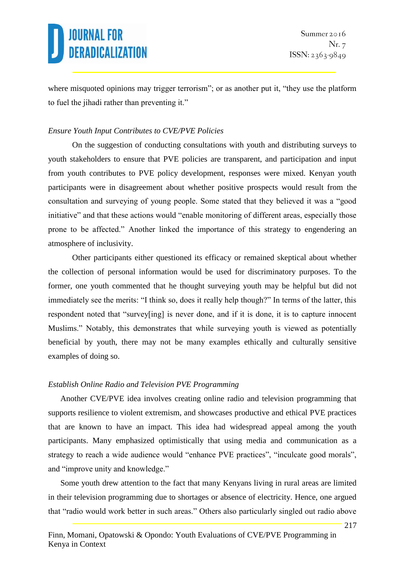where misquoted opinions may trigger terrorism"; or as another put it, "they use the platform to fuel the jihadi rather than preventing it."

#### *Ensure Youth Input Contributes to CVE/PVE Policies*

On the suggestion of conducting consultations with youth and distributing surveys to youth stakeholders to ensure that PVE policies are transparent, and participation and input from youth contributes to PVE policy development, responses were mixed. Kenyan youth participants were in disagreement about whether positive prospects would result from the consultation and surveying of young people. Some stated that they believed it was a "good initiative" and that these actions would "enable monitoring of different areas, especially those prone to be affected." Another linked the importance of this strategy to engendering an atmosphere of inclusivity.

Other participants either questioned its efficacy or remained skeptical about whether the collection of personal information would be used for discriminatory purposes. To the former, one youth commented that he thought surveying youth may be helpful but did not immediately see the merits: "I think so, does it really help though?" In terms of the latter, this respondent noted that "survey[ing] is never done, and if it is done, it is to capture innocent Muslims." Notably, this demonstrates that while surveying youth is viewed as potentially beneficial by youth, there may not be many examples ethically and culturally sensitive examples of doing so.

#### *Establish Online Radio and Television PVE Programming*

Another CVE/PVE idea involves creating online radio and television programming that supports resilience to violent extremism, and showcases productive and ethical PVE practices that are known to have an impact. This idea had widespread appeal among the youth participants. Many emphasized optimistically that using media and communication as a strategy to reach a wide audience would "enhance PVE practices", "inculcate good morals", and "improve unity and knowledge."

Some youth drew attention to the fact that many Kenyans living in rural areas are limited in their television programming due to shortages or absence of electricity. Hence, one argued that "radio would work better in such areas." Others also particularly singled out radio above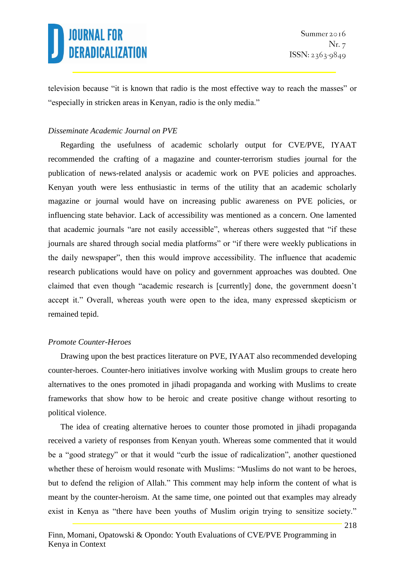television because "it is known that radio is the most effective way to reach the masses" or "especially in stricken areas in Kenyan, radio is the only media."

#### *Disseminate Academic Journal on PVE*

Regarding the usefulness of academic scholarly output for CVE/PVE, IYAAT recommended the crafting of a magazine and counter-terrorism studies journal for the publication of news-related analysis or academic work on PVE policies and approaches. Kenyan youth were less enthusiastic in terms of the utility that an academic scholarly magazine or journal would have on increasing public awareness on PVE policies, or influencing state behavior. Lack of accessibility was mentioned as a concern. One lamented that academic journals "are not easily accessible", whereas others suggested that "if these journals are shared through social media platforms" or "if there were weekly publications in the daily newspaper", then this would improve accessibility. The influence that academic research publications would have on policy and government approaches was doubted. One claimed that even though "academic research is [currently] done, the government doesn't accept it." Overall, whereas youth were open to the idea, many expressed skepticism or remained tepid.

#### *Promote Counter-Heroes*

Drawing upon the best practices literature on PVE, IYAAT also recommended developing counter-heroes. Counter-hero initiatives involve working with Muslim groups to create hero alternatives to the ones promoted in jihadi propaganda and working with Muslims to create frameworks that show how to be heroic and create positive change without resorting to political violence.

The idea of creating alternative heroes to counter those promoted in jihadi propaganda received a variety of responses from Kenyan youth. Whereas some commented that it would be a "good strategy" or that it would "curb the issue of radicalization", another questioned whether these of heroism would resonate with Muslims: "Muslims do not want to be heroes, but to defend the religion of Allah." This comment may help inform the content of what is meant by the counter-heroism. At the same time, one pointed out that examples may already exist in Kenya as "there have been youths of Muslim origin trying to sensitize society."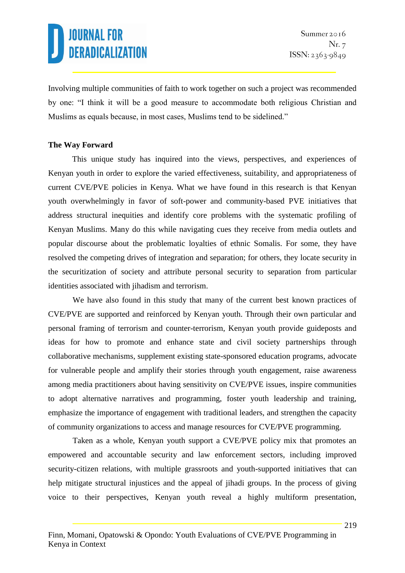Involving multiple communities of faith to work together on such a project was recommended by one: "I think it will be a good measure to accommodate both religious Christian and Muslims as equals because, in most cases, Muslims tend to be sidelined."

#### **The Way Forward**

This unique study has inquired into the views, perspectives, and experiences of Kenyan youth in order to explore the varied effectiveness, suitability, and appropriateness of current CVE/PVE policies in Kenya. What we have found in this research is that Kenyan youth overwhelmingly in favor of soft-power and community-based PVE initiatives that address structural inequities and identify core problems with the systematic profiling of Kenyan Muslims. Many do this while navigating cues they receive from media outlets and popular discourse about the problematic loyalties of ethnic Somalis. For some, they have resolved the competing drives of integration and separation; for others, they locate security in the securitization of society and attribute personal security to separation from particular identities associated with jihadism and terrorism.

We have also found in this study that many of the current best known practices of CVE/PVE are supported and reinforced by Kenyan youth. Through their own particular and personal framing of terrorism and counter-terrorism, Kenyan youth provide guideposts and ideas for how to promote and enhance state and civil society partnerships through collaborative mechanisms, supplement existing state-sponsored education programs, advocate for vulnerable people and amplify their stories through youth engagement, raise awareness among media practitioners about having sensitivity on CVE/PVE issues, inspire communities to adopt alternative narratives and programming, foster youth leadership and training, emphasize the importance of engagement with traditional leaders, and strengthen the capacity of community organizations to access and manage resources for CVE/PVE programming.

Taken as a whole, Kenyan youth support a CVE/PVE policy mix that promotes an empowered and accountable security and law enforcement sectors, including improved security-citizen relations, with multiple grassroots and youth-supported initiatives that can help mitigate structural injustices and the appeal of jihadi groups. In the process of giving voice to their perspectives, Kenyan youth reveal a highly multiform presentation,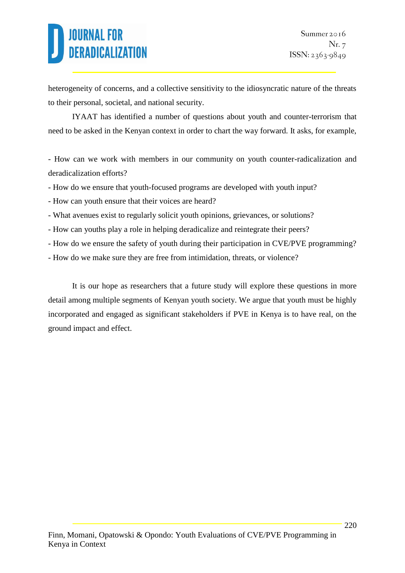heterogeneity of concerns, and a collective sensitivity to the idiosyncratic nature of the threats to their personal, societal, and national security.

IYAAT has identified a number of questions about youth and counter-terrorism that need to be asked in the Kenyan context in order to chart the way forward. It asks, for example,

- How can we work with members in our community on youth counter-radicalization and deradicalization efforts?

- How do we ensure that youth-focused programs are developed with youth input?
- How can youth ensure that their voices are heard?
- What avenues exist to regularly solicit youth opinions, grievances, or solutions?
- How can youths play a role in helping deradicalize and reintegrate their peers?
- How do we ensure the safety of youth during their participation in CVE/PVE programming?
- How do we make sure they are free from intimidation, threats, or violence?

It is our hope as researchers that a future study will explore these questions in more detail among multiple segments of Kenyan youth society. We argue that youth must be highly incorporated and engaged as significant stakeholders if PVE in Kenya is to have real, on the ground impact and effect.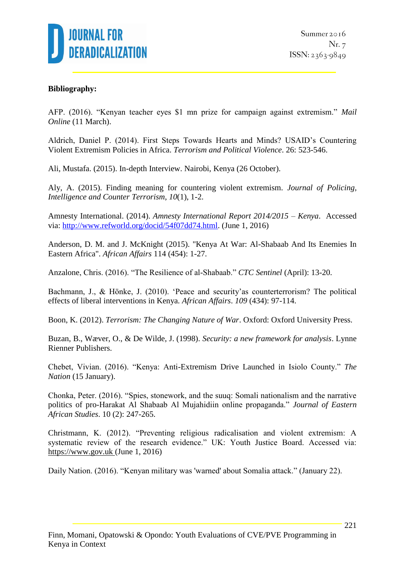

#### **Bibliography:**

AFP. (2016). "Kenyan teacher eyes \$1 mn prize for campaign against extremism." *Mail Online* (11 March).

Aldrich, Daniel P. (2014). First Steps Towards Hearts and Minds? USAID's Countering Violent Extremism Policies in Africa. *Terrorism and Political Violence*. 26: 523-546.

Ali, Mustafa. (2015). In-depth Interview. Nairobi, Kenya (26 October).

Aly, A. (2015). Finding meaning for countering violent extremism. *Journal of Policing, Intelligence and Counter Terrorism*, *10*(1), 1-2.

Amnesty International. (2014). *Amnesty International Report 2014/2015 – Kenya*. Accessed via: [http://www.refworld.org/docid/54f07dd74.html.](http://www.refworld.org/docid/54f07dd74.html) (June 1, 2016)

Anderson, D. M. and J. McKnight (2015). "Kenya At War: Al-Shabaab And Its Enemies In Eastern Africa". *African Affairs* 114 (454): 1-27.

Anzalone, Chris. (2016). "The Resilience of al-Shabaab." *CTC Sentinel* (April): 13-20.

Bachmann, J., & Hönke, J. (2010). 'Peace and security'as counterterrorism? The political effects of liberal interventions in Kenya. *African Affairs*. *109* (434): 97-114.

Boon, K. (2012). *Terrorism: The Changing Nature of War*. Oxford: Oxford University Press.

Buzan, B., Wæver, O., & De Wilde, J. (1998). *Security: a new framework for analysis*. Lynne Rienner Publishers.

Chebet, Vivian. (2016). "Kenya: Anti-Extremism Drive Launched in Isiolo County." *The Nation* (15 January).

Chonka, Peter. (2016). "Spies, stonework, and the suuq: Somali nationalism and the narrative politics of pro-Harakat Al Shabaab Al Mujahidiin online propaganda." *Journal of Eastern African Studies*. 10 (2): 247-265.

Christmann, K. (2012). "Preventing religious radicalisation and violent extremism: A systematic review of the research evidence." UK: Youth Justice Board. Accessed via: [https://www.gov.uk](https://www.gov.uk/) (June 1, 2016)

Daily Nation. (2016). "Kenyan military was 'warned' about Somalia attack." (January 22).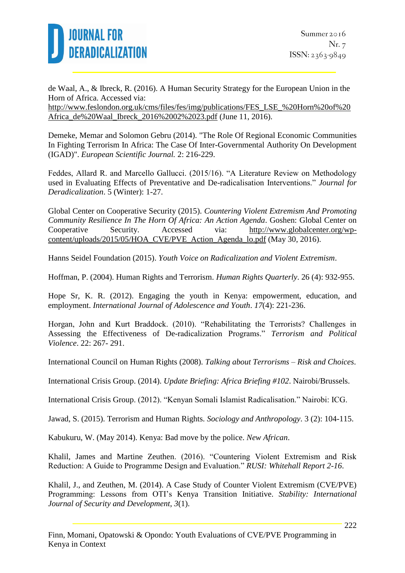

de Waal, A., & Ibreck, R. (2016). A Human Security Strategy for the European Union in the Horn of Africa. Accessed via: [http://www.feslondon.org.uk/cms/files/fes/img/publications/FES\\_LSE\\_%20Horn%20of%20](http://www.feslondon.org.uk/cms/files/fes/img/publications/FES_LSE_%20Horn%20of%20Africa_de%20Waal_Ibreck_2016%2002%2023.pdf) [Africa\\_de%20Waal\\_Ibreck\\_2016%2002%2023.pdf](http://www.feslondon.org.uk/cms/files/fes/img/publications/FES_LSE_%20Horn%20of%20Africa_de%20Waal_Ibreck_2016%2002%2023.pdf) (June 11, 2016).

Demeke, Memar and Solomon Gebru (2014). "The Role Of Regional Economic Communities In Fighting Terrorism In Africa: The Case Of Inter-Governmental Authority On Development (IGAD)". *European Scientific Journal.* 2: 216-229.

Feddes, Allard R. and Marcello Gallucci. (2015/16). "A Literature Review on Methodology used in Evaluating Effects of Preventative and De-radicalisation Interventions." *Journal for Deradicalization*. 5 (Winter): 1-27.

Global Center on Cooperative Security (2015). *Countering Violent Extremism And Promoting Community Resilience In The Horn Of Africa: An Action Agenda*. Goshen: Global Center on Cooperative Security. Accessed via: [http://www.globalcenter.org/wp](http://www.globalcenter.org/wp-content/uploads/2015/05/HOA_CVE_Action_Agenda_lo.pdf)[content/uploads/2015/05/HOA\\_CVE/PVE\\_Action\\_Agenda\\_lo.pdf](http://www.globalcenter.org/wp-content/uploads/2015/05/HOA_CVE_Action_Agenda_lo.pdf) (May 30, 2016).

Hanns Seidel Foundation (2015). *Youth Voice on Radicalization and Violent Extremism*.

Hoffman, P. (2004). Human Rights and Terrorism. *Human Rights Quarterly*. 26 (4): 932-955.

Hope Sr, K. R. (2012). Engaging the youth in Kenya: empowerment, education, and employment. *International Journal of Adolescence and Youth*. *17*(4): 221-236.

Horgan, John and Kurt Braddock. (2010). "Rehabilitating the Terrorists? Challenges in Assessing the Effectiveness of De-radicalization Programs." *Terrorism and Political Violence*. 22: 267- 291.

International Council on Human Rights (2008). *Talking about Terrorisms – Risk and Choices*.

International Crisis Group. (2014). *Update Briefing: Africa Briefing #102*. Nairobi/Brussels.

International Crisis Group. (2012). "Kenyan Somali Islamist Radicalisation." Nairobi: ICG.

Jawad, S. (2015). Terrorism and Human Rights. *Sociology and Anthropology*. 3 (2): 104-115.

Kabukuru, W. (May 2014). Kenya: Bad move by the police. *New African*.

Khalil, James and Martine Zeuthen. (2016). "Countering Violent Extremism and Risk Reduction: A Guide to Programme Design and Evaluation." *RUSI: Whitehall Report 2-16*.

Khalil, J., and Zeuthen, M. (2014). A Case Study of Counter Violent Extremism (CVE/PVE) Programming: Lessons from OTI's Kenya Transition Initiative. *Stability: International Journal of Security and Development*, *3*(1).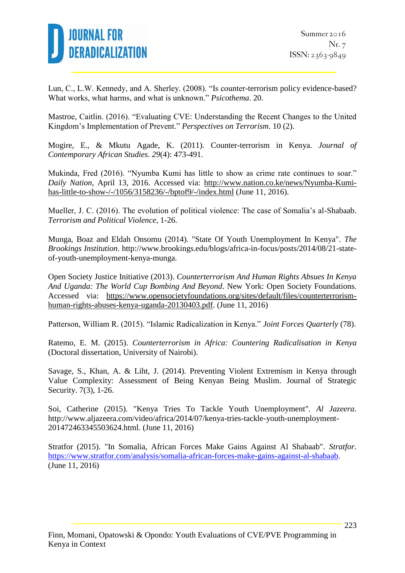

Lun, C., L.W. Kennedy, and A. Sherley. (2008). "Is counter-terrorism policy evidence-based? What works, what harms, and what is unknown." *Psicothema*. 20.

Mastroe, Caitlin. (2016). "Evaluating CVE: Understanding the Recent Changes to the United Kingdom's Implementation of Prevent." *Perspectives on Terrorism*. 10 (2).

Mogire, E., & Mkutu Agade, K. (2011). Counter-terrorism in Kenya. *Journal of Contemporary African Studies*. *29*(4): 473-491.

Mukinda, Fred (2016). "Nyumba Kumi has little to show as crime rate continues to soar." *Daily Nation*, April 13, 2016. Accessed via: [http://www.nation.co.ke/news/Nyumba-Kumi](http://www.nation.co.ke/news/Nyumba-Kumi-has-little-to-show-/-/1056/3158236/-/bptof9/-/index.html)[has-little-to-show-/-/1056/3158236/-/bptof9/-/index.html](http://www.nation.co.ke/news/Nyumba-Kumi-has-little-to-show-/-/1056/3158236/-/bptof9/-/index.html) (June 11, 2016).

Mueller, J. C. (2016). The evolution of political violence: The case of Somalia's al-Shabaab. *Terrorism and Political Violence*, 1-26.

Munga, Boaz and Eldah Onsomu (2014). "State Of Youth Unemployment In Kenya". *The Brookings Institution*. http://www.brookings.edu/blogs/africa-in-focus/posts/2014/08/21-stateof-youth-unemployment-kenya-munga.

Open Society Justice Initiative (2013). *Counterterrorism And Human Rights Absues In Kenya And Uganda: The World Cup Bombing And Beyond*. New York: Open Society Foundations. Accessed via: [https://www.opensocietyfoundations.org/sites/default/files/counterterrorism](https://www.opensocietyfoundations.org/sites/default/files/counterterrorism-human-rights-abuses-kenya-uganda-20130403.pdf)[human-rights-abuses-kenya-uganda-20130403.pdf.](https://www.opensocietyfoundations.org/sites/default/files/counterterrorism-human-rights-abuses-kenya-uganda-20130403.pdf) (June 11, 2016)

Patterson, William R. (2015). "Islamic Radicalization in Kenya." *Joint Forces Quarterly* (78).

Ratemo, E. M. (2015). *Counterterrorism in Africa: Countering Radicalisation in Kenya* (Doctoral dissertation, University of Nairobi).

Savage, S., Khan, A. & Liht, J. (2014). Preventing Violent Extremism in Kenya through Value Complexity: Assessment of Being Kenyan Being Muslim. Journal of Strategic Security. 7(3), 1-26.

Soi, Catherine (2015). "Kenya Tries To Tackle Youth Unemployment". *Al Jazeera*. http://www.aljazeera.com/video/africa/2014/07/kenya-tries-tackle-youth-unemployment-201472463345503624.html. (June 11, 2016)

Stratfor (2015). "In Somalia, African Forces Make Gains Against Al Shabaab". *Stratfor*. [https://www.stratfor.com/analysis/somalia-african-forces-make-gains-against-al-shabaab.](https://www.stratfor.com/analysis/somalia-african-forces-make-gains-against-al-shabaab) (June 11, 2016)